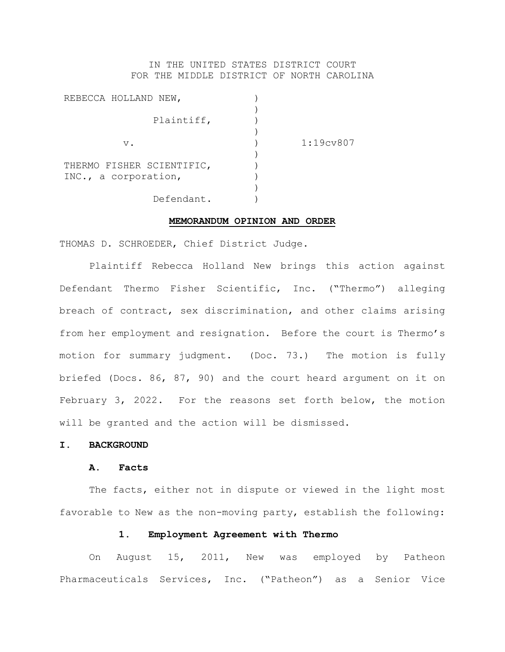## IN THE UNITED STATES DISTRICT COURT FOR THE MIDDLE DISTRICT OF NORTH CAROLINA

| REBECCA HOLLAND NEW,      |                        |
|---------------------------|------------------------|
|                           |                        |
| Plaintiff,                |                        |
|                           |                        |
| v.                        | 1:19c <sub>V</sub> 807 |
|                           |                        |
| THERMO FISHER SCIENTIFIC, |                        |
| INC., a corporation,      |                        |
|                           |                        |
| Defendant.                |                        |

### **MEMORANDUM OPINION AND ORDER**

THOMAS D. SCHROEDER, Chief District Judge.

Plaintiff Rebecca Holland New brings this action against Defendant Thermo Fisher Scientific, Inc. ("Thermo") alleging breach of contract, sex discrimination, and other claims arising from her employment and resignation. Before the court is Thermo's motion for summary judgment. (Doc. 73.) The motion is fully briefed (Docs. 86, 87, 90) and the court heard argument on it on February 3, 2022. For the reasons set forth below, the motion will be granted and the action will be dismissed.

## **I. BACKGROUND**

#### **A. Facts**

The facts, either not in dispute or viewed in the light most favorable to New as the non-moving party, establish the following:

## **1. Employment Agreement with Thermo**

On August 15, 2011, New was employed by Patheon Pharmaceuticals Services, Inc. ("Patheon") as a Senior Vice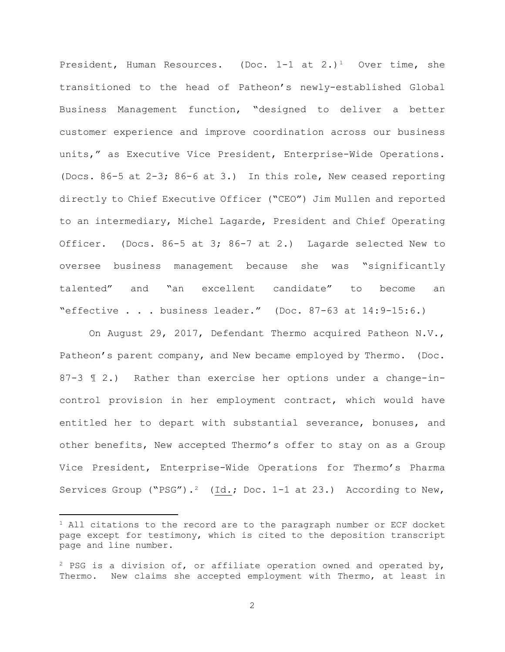President, Human Resources. (Doc.  $1-1$  at  $2.$ )<sup>1</sup> Over time, she transitioned to the head of Patheon's newly-established Global Business Management function, "designed to deliver a better customer experience and improve coordination across our business units," as Executive Vice President, Enterprise-Wide Operations. (Docs. 86-5 at 2-3; 86-6 at 3.) In this role, New ceased reporting directly to Chief Executive Officer ("CEO") Jim Mullen and reported to an intermediary, Michel Lagarde, President and Chief Operating Officer. (Docs. 86-5 at 3; 86-7 at 2.) Lagarde selected New to oversee business management because she was "significantly talented" and "an excellent candidate" to become an "effective . . . business leader." (Doc. 87-63 at 14:9-15:6.)

On August 29, 2017, Defendant Thermo acquired Patheon N.V., Patheon's parent company, and New became employed by Thermo. (Doc. 87-3 ¶ 2.) Rather than exercise her options under a change-incontrol provision in her employment contract, which would have entitled her to depart with substantial severance, bonuses, and other benefits, New accepted Thermo's offer to stay on as a Group Vice President, Enterprise-Wide Operations for Thermo's Pharma Services Group ("PSG").<sup>2</sup> (Id.; Doc. 1-1 at 23.) According to New,

 $1$  All citations to the record are to the paragraph number or ECF docket page except for testimony, which is cited to the deposition transcript page and line number.

<sup>&</sup>lt;sup>2</sup> PSG is a division of, or affiliate operation owned and operated by, Thermo. New claims she accepted employment with Thermo, at least in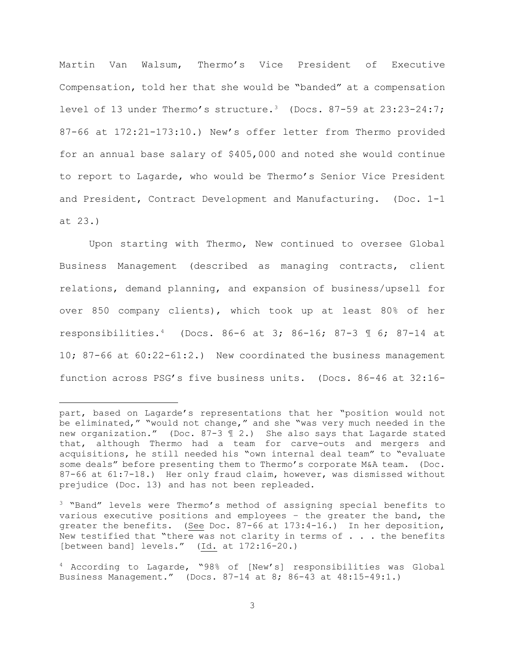Martin Van Walsum, Thermo's Vice President of Executive Compensation, told her that she would be "banded" at a compensation level of 13 under Thermo's structure.<sup>3</sup> (Docs.  $87-59$  at  $23:23-24:7$ ; 87-66 at 172:21-173:10.) New's offer letter from Thermo provided for an annual base salary of \$405,000 and noted she would continue to report to Lagarde, who would be Thermo's Senior Vice President and President, Contract Development and Manufacturing. (Doc. 1-1 at 23.)

Upon starting with Thermo, New continued to oversee Global Business Management (described as managing contracts, client relations, demand planning, and expansion of business/upsell for over 850 company clients), which took up at least 80% of her responsibilities.4 (Docs. 86-6 at 3; 86-16; 87-3 ¶ 6; 87-14 at 10; 87-66 at 60:22-61:2.) New coordinated the business management function across PSG's five business units. (Docs. 86-46 at 32:16-

part, based on Lagarde's representations that her "position would not be eliminated," "would not change," and she "was very much needed in the new organization." (Doc. 87-3 ¶ 2.) She also says that Lagarde stated that, although Thermo had a team for carve-outs and mergers and acquisitions, he still needed his "own internal deal team" to "evaluate some deals" before presenting them to Thermo's corporate M&A team. (Doc. 87-66 at 61:7-18.) Her only fraud claim, however, was dismissed without prejudice (Doc. 13) and has not been repleaded.

<sup>&</sup>lt;sup>3</sup> "Band" levels were Thermo's method of assigning special benefits to various executive positions and employees – the greater the band, the greater the benefits. (See Doc. 87-66 at 173:4-16.) In her deposition, New testified that "there was not clarity in terms of  $\ldots$  . the benefits [between band] levels." (Id. at 172:16-20.)

<sup>4</sup> According to Lagarde, "98% of [New's] responsibilities was Global Business Management." (Docs. 87-14 at 8; 86-43 at 48:15-49:1.)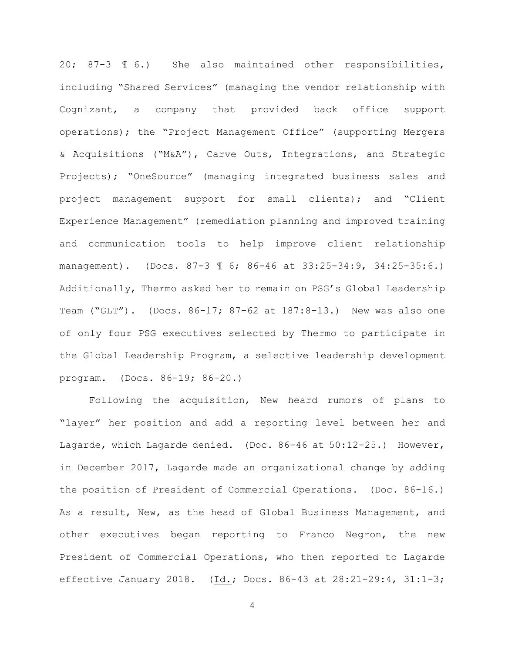20; 87-3 ¶ 6.) She also maintained other responsibilities, including "Shared Services" (managing the vendor relationship with Cognizant, a company that provided back office support operations); the "Project Management Office" (supporting Mergers & Acquisitions ("M&A"), Carve Outs, Integrations, and Strategic Projects); "OneSource" (managing integrated business sales and project management support for small clients); and "Client Experience Management" (remediation planning and improved training and communication tools to help improve client relationship management). (Docs. 87-3 ¶ 6; 86-46 at 33:25-34:9, 34:25-35:6.) Additionally, Thermo asked her to remain on PSG's Global Leadership Team ("GLT"). (Docs. 86-17; 87-62 at 187:8-13.) New was also one of only four PSG executives selected by Thermo to participate in the Global Leadership Program, a selective leadership development program. (Docs. 86-19; 86-20.)

Following the acquisition, New heard rumors of plans to "layer" her position and add a reporting level between her and Lagarde, which Lagarde denied. (Doc. 86-46 at 50:12-25.) However, in December 2017, Lagarde made an organizational change by adding the position of President of Commercial Operations. (Doc. 86-16.) As a result, New, as the head of Global Business Management, and other executives began reporting to Franco Negron, the new President of Commercial Operations, who then reported to Lagarde effective January 2018. (Id.; Docs. 86-43 at 28:21-29:4, 31:1-3;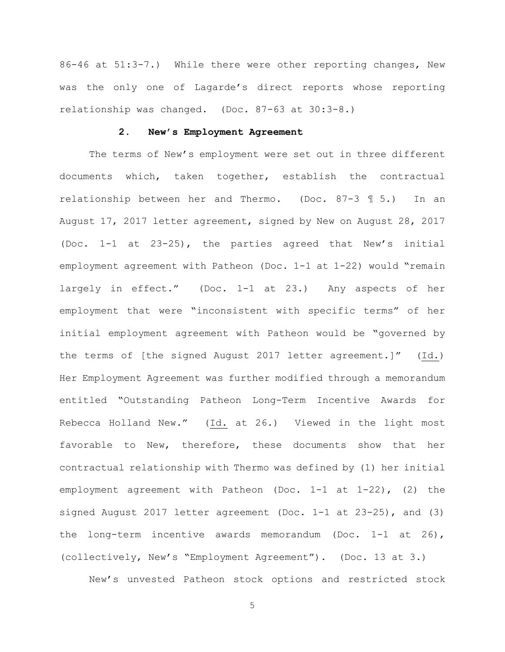86-46 at 51:3-7.) While there were other reporting changes, New was the only one of Lagarde's direct reports whose reporting relationship was changed. (Doc. 87-63 at 30:3-8.)

## **2. New's Employment Agreement**

The terms of New's employment were set out in three different documents which, taken together, establish the contractual relationship between her and Thermo. (Doc. 87-3 ¶ 5.) In an August 17, 2017 letter agreement, signed by New on August 28, 2017 (Doc. 1-1 at 23-25), the parties agreed that New's initial employment agreement with Patheon (Doc. 1-1 at 1-22) would "remain largely in effect." (Doc. 1-1 at 23.) Any aspects of her employment that were "inconsistent with specific terms" of her initial employment agreement with Patheon would be "governed by the terms of [the signed August 2017 letter agreement.]" (Id.) Her Employment Agreement was further modified through a memorandum entitled "Outstanding Patheon Long-Term Incentive Awards for Rebecca Holland New." (Id. at 26.) Viewed in the light most favorable to New, therefore, these documents show that her contractual relationship with Thermo was defined by (1) her initial employment agreement with Patheon (Doc. 1-1 at 1-22), (2) the signed August 2017 letter agreement (Doc. 1-1 at 23-25), and (3) the long-term incentive awards memorandum (Doc. 1-1 at 26), (collectively, New's "Employment Agreement"). (Doc. 13 at 3.)

New's unvested Patheon stock options and restricted stock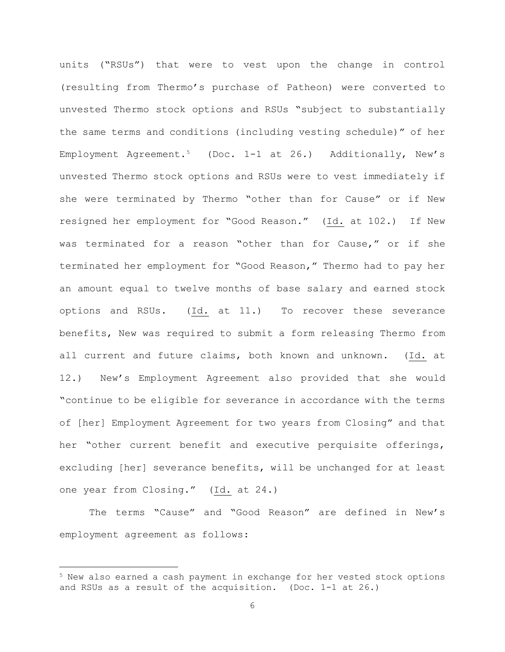units ("RSUs") that were to vest upon the change in control (resulting from Thermo's purchase of Patheon) were converted to unvested Thermo stock options and RSUs "subject to substantially the same terms and conditions (including vesting schedule)" of her Employment Agreement.<sup>5</sup> (Doc. 1-1 at 26.) Additionally, New's unvested Thermo stock options and RSUs were to vest immediately if she were terminated by Thermo "other than for Cause" or if New resigned her employment for "Good Reason." (Id. at 102.) If New was terminated for a reason "other than for Cause," or if she terminated her employment for "Good Reason," Thermo had to pay her an amount equal to twelve months of base salary and earned stock options and RSUs. (Id. at 11.) To recover these severance benefits, New was required to submit a form releasing Thermo from all current and future claims, both known and unknown. (Id. at 12.) New's Employment Agreement also provided that she would "continue to be eligible for severance in accordance with the terms of [her] Employment Agreement for two years from Closing" and that her "other current benefit and executive perquisite offerings, excluding [her] severance benefits, will be unchanged for at least one year from Closing." (Id. at 24.)

The terms "Cause" and "Good Reason" are defined in New's employment agreement as follows:

 $5$  New also earned a cash payment in exchange for her vested stock options and RSUs as a result of the acquisition. (Doc. 1-1 at 26.)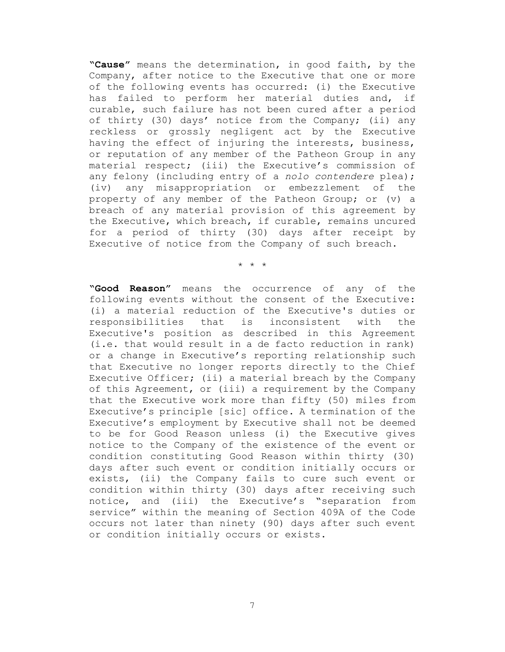**"Cause"** means the determination, in good faith, by the Company, after notice to the Executive that one or more of the following events has occurred: (i) the Executive has failed to perform her material duties and, if curable, such failure has not been cured after a period of thirty (30) days' notice from the Company; (ii) any reckless or grossly negligent act by the Executive having the effect of injuring the interests, business, or reputation of any member of the Patheon Group in any material respect; (iii) the Executive's commission of any felony (including entry of a *nolo contendere* plea); (iv) any misappropriation or embezzlement of the property of any member of the Patheon Group; or (v) a breach of any material provision of this agreement by the Executive, which breach, if curable, remains uncured for a period of thirty (30) days after receipt by Executive of notice from the Company of such breach.

\* \* \*

**"Good Reason"** means the occurrence of any of the following events without the consent of the Executive: (i) a material reduction of the Executive's duties or<br>responsibilities that is inconsistent with the responsibilities Executive's position as described in this Agreement (i.e. that would result in a de facto reduction in rank) or a change in Executive's reporting relationship such that Executive no longer reports directly to the Chief Executive Officer; (ii) a material breach by the Company of this Agreement, or (iii) a requirement by the Company that the Executive work more than fifty (50) miles from Executive's principle [sic] office. A termination of the Executive's employment by Executive shall not be deemed to be for Good Reason unless (i) the Executive gives notice to the Company of the existence of the event or condition constituting Good Reason within thirty (30) days after such event or condition initially occurs or exists, (ii) the Company fails to cure such event or condition within thirty (30) days after receiving such notice, and (iii) the Executive's "separation from service" within the meaning of Section 409A of the Code occurs not later than ninety (90) days after such event or condition initially occurs or exists.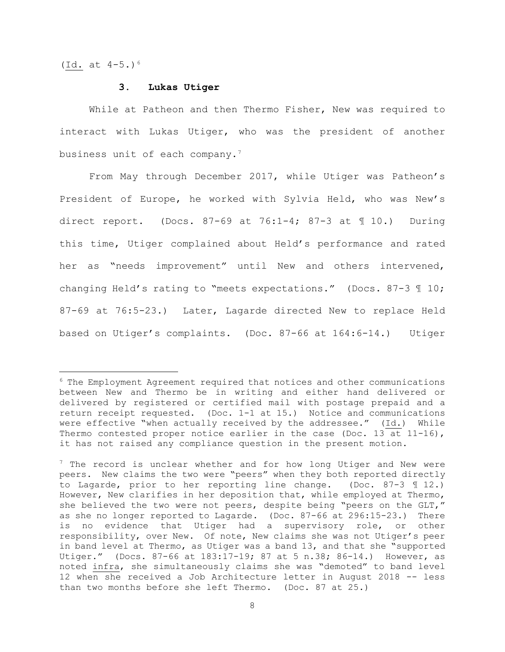(Id. at  $4-5.$ )<sup>6</sup>

#### **3. Lukas Utiger**

While at Patheon and then Thermo Fisher, New was required to interact with Lukas Utiger, who was the president of another business unit of each company.<sup>7</sup>

From May through December 2017, while Utiger was Patheon's President of Europe, he worked with Sylvia Held, who was New's direct report. (Docs.  $87-69$  at  $76:1-4$ ;  $87-3$  at  $\text{\textsterling}10$ .) During this time, Utiger complained about Held's performance and rated her as "needs improvement" until New and others intervened, changing Held's rating to "meets expectations." (Docs. 87-3 ¶ 10; 87-69 at 76:5-23.) Later, Lagarde directed New to replace Held based on Utiger's complaints. (Doc. 87-66 at 164:6-14.) Utiger

<sup>6</sup> The Employment Agreement required that notices and other communications between New and Thermo be in writing and either hand delivered or delivered by registered or certified mail with postage prepaid and a return receipt requested. (Doc. 1-1 at 15.) Notice and communications were effective "when actually received by the addressee." (Id.) While Thermo contested proper notice earlier in the case (Doc. 13 at 11-16), it has not raised any compliance question in the present motion.

 $7$  The record is unclear whether and for how long Utiger and New were peers. New claims the two were "peers" when they both reported directly to Lagarde, prior to her reporting line change. (Doc. 87-3 ¶ 12.) However, New clarifies in her deposition that, while employed at Thermo, she believed the two were not peers, despite being "peers on the GLT," as she no longer reported to Lagarde. (Doc. 87-66 at 296:15-23.) There is no evidence that Utiger had a supervisory role, or other responsibility, over New. Of note, New claims she was not Utiger's peer in band level at Thermo, as Utiger was a band 13, and that she "supported Utiger." (Docs. 87-66 at 183:17-19; 87 at 5 n.38; 86-14.) However, as noted infra, she simultaneously claims she was "demoted" to band level 12 when she received a Job Architecture letter in August 2018 -- less than two months before she left Thermo. (Doc. 87 at 25.)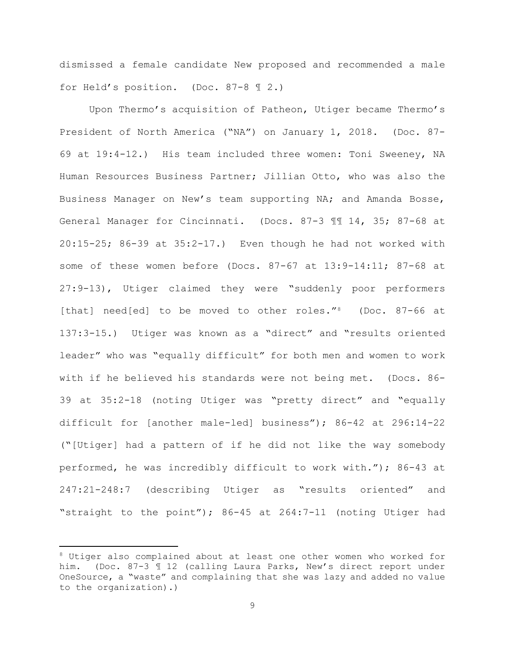dismissed a female candidate New proposed and recommended a male for Held's position. (Doc. 87-8 ¶ 2.)

Upon Thermo's acquisition of Patheon, Utiger became Thermo's President of North America ("NA") on January 1, 2018. (Doc. 87- 69 at 19:4-12.) His team included three women: Toni Sweeney, NA Human Resources Business Partner; Jillian Otto, who was also the Business Manager on New's team supporting NA; and Amanda Bosse, General Manager for Cincinnati. (Docs. 87-3 ¶¶ 14, 35; 87-68 at 20:15-25; 86-39 at 35:2-17.) Even though he had not worked with some of these women before (Docs. 87-67 at 13:9-14:11; 87-68 at 27:9-13), Utiger claimed they were "suddenly poor performers [that] need[ed] to be moved to other roles."<sup>8</sup> (Doc. 87-66 at 137:3-15.) Utiger was known as a "direct" and "results oriented leader" who was "equally difficult" for both men and women to work with if he believed his standards were not being met. (Docs. 86- 39 at 35:2-18 (noting Utiger was "pretty direct" and "equally difficult for [another male-led] business"); 86-42 at 296:14-22 ("[Utiger] had a pattern of if he did not like the way somebody performed, he was incredibly difficult to work with."); 86-43 at 247:21-248:7 (describing Utiger as "results oriented" and "straight to the point"); 86-45 at 264:7-11 (noting Utiger had

<sup>8</sup> Utiger also complained about at least one other women who worked for him. (Doc. 87-3 ¶ 12 (calling Laura Parks, New's direct report under OneSource, a "waste" and complaining that she was lazy and added no value to the organization).)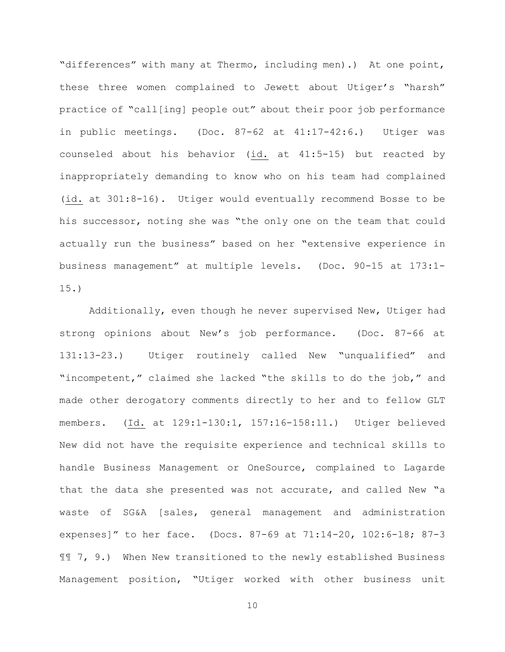"differences" with many at Thermo, including men).) At one point, these three women complained to Jewett about Utiger's "harsh" practice of "call[ing] people out" about their poor job performance in public meetings. (Doc. 87-62 at 41:17-42:6.) Utiger was counseled about his behavior (id. at 41:5-15) but reacted by inappropriately demanding to know who on his team had complained (id. at 301:8-16). Utiger would eventually recommend Bosse to be his successor, noting she was "the only one on the team that could actually run the business" based on her "extensive experience in business management" at multiple levels. (Doc. 90-15 at 173:1- 15.)

Additionally, even though he never supervised New, Utiger had strong opinions about New's job performance. (Doc. 87-66 at 131:13-23.) Utiger routinely called New "unqualified" and "incompetent," claimed she lacked "the skills to do the job," and made other derogatory comments directly to her and to fellow GLT members. (Id. at 129:1-130:1, 157:16-158:11.) Utiger believed New did not have the requisite experience and technical skills to handle Business Management or OneSource, complained to Lagarde that the data she presented was not accurate, and called New "a waste of SG&A [sales, general management and administration expenses]" to her face. (Docs. 87-69 at 71:14-20, 102:6-18; 87-3 ¶¶ 7, 9.) When New transitioned to the newly established Business Management position, "Utiger worked with other business unit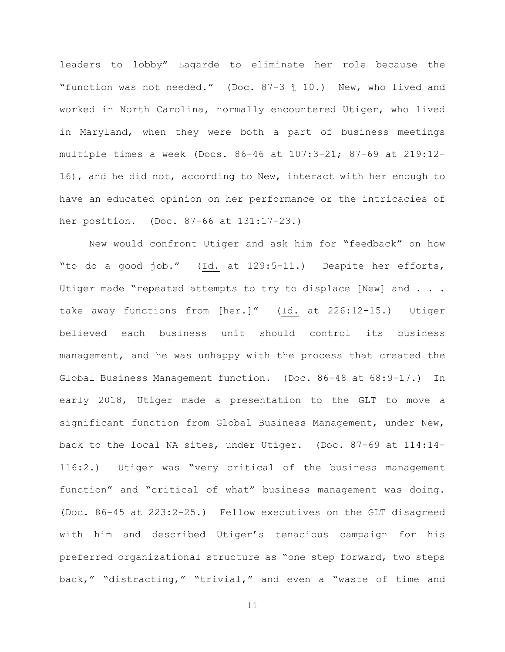leaders to lobby" Lagarde to eliminate her role because the "function was not needed." (Doc. 87-3 ¶ 10.) New, who lived and worked in North Carolina, normally encountered Utiger, who lived in Maryland, when they were both a part of business meetings multiple times a week (Docs. 86-46 at 107:3-21; 87-69 at 219:12- 16), and he did not, according to New, interact with her enough to have an educated opinion on her performance or the intricacies of her position. (Doc. 87-66 at 131:17-23.)

New would confront Utiger and ask him for "feedback" on how "to do a good job." (Id. at 129:5-11.) Despite her efforts, Utiger made "repeated attempts to try to displace [New] and . . . take away functions from [her.]" (Id. at 226:12-15.) Utiger believed each business unit should control its business management, and he was unhappy with the process that created the Global Business Management function. (Doc. 86-48 at 68:9-17.) In early 2018, Utiger made a presentation to the GLT to move a significant function from Global Business Management, under New, back to the local NA sites, under Utiger. (Doc. 87-69 at 114:14- 116:2.) Utiger was "very critical of the business management function" and "critical of what" business management was doing. (Doc. 86-45 at 223:2-25.) Fellow executives on the GLT disagreed with him and described Utiger's tenacious campaign for his preferred organizational structure as "one step forward, two steps back," "distracting," "trivial," and even a "waste of time and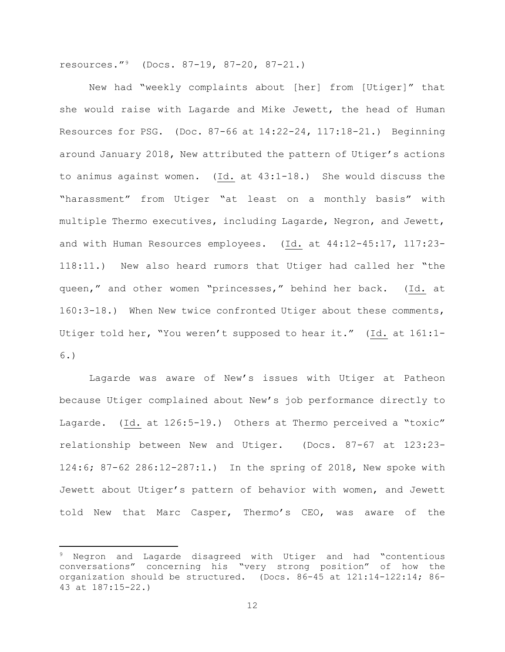resources."9 (Docs. 87-19, 87-20, 87-21.)

New had "weekly complaints about [her] from [Utiger]" that she would raise with Lagarde and Mike Jewett, the head of Human Resources for PSG. (Doc. 87-66 at 14:22-24, 117:18-21.) Beginning around January 2018, New attributed the pattern of Utiger's actions to animus against women. (Id. at 43:1-18.) She would discuss the "harassment" from Utiger "at least on a monthly basis" with multiple Thermo executives, including Lagarde, Negron, and Jewett, and with Human Resources employees. (Id. at 44:12-45:17, 117:23- 118:11.) New also heard rumors that Utiger had called her "the queen," and other women "princesses," behind her back. (Id. at 160:3-18.) When New twice confronted Utiger about these comments, Utiger told her, "You weren't supposed to hear it." (Id. at 161:1- 6.)

Lagarde was aware of New's issues with Utiger at Patheon because Utiger complained about New's job performance directly to Lagarde. (Id. at 126:5-19.) Others at Thermo perceived a "toxic" relationship between New and Utiger. (Docs. 87-67 at 123:23- 124:6; 87-62 286:12-287:1.) In the spring of 2018, New spoke with Jewett about Utiger's pattern of behavior with women, and Jewett told New that Marc Casper, Thermo's CEO, was aware of the

<sup>9</sup> Negron and Lagarde disagreed with Utiger and had "contentious conversations" concerning his "very strong position" of how the organization should be structured. (Docs. 86-45 at 121:14-122:14; 86- 43 at 187:15-22.)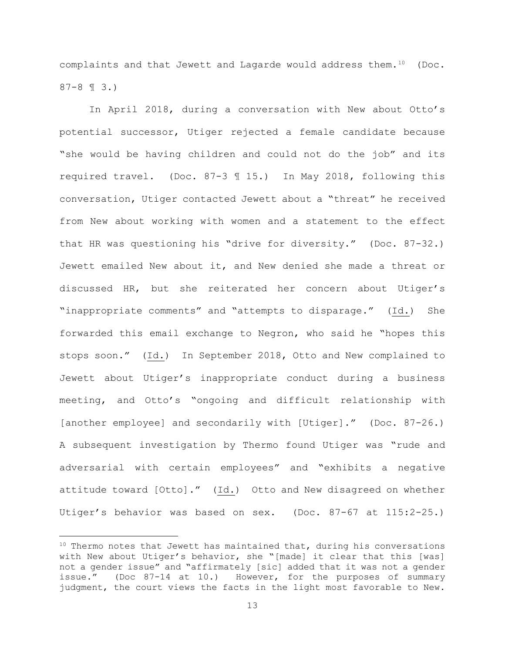complaints and that Jewett and Lagarde would address them. $10$  (Doc. 87-8 ¶ 3.)

In April 2018, during a conversation with New about Otto's potential successor, Utiger rejected a female candidate because "she would be having children and could not do the job" and its required travel. (Doc. 87-3 ¶ 15.) In May 2018, following this conversation, Utiger contacted Jewett about a "threat" he received from New about working with women and a statement to the effect that HR was questioning his "drive for diversity." (Doc. 87-32.) Jewett emailed New about it, and New denied she made a threat or discussed HR, but she reiterated her concern about Utiger's "inappropriate comments" and "attempts to disparage." (Id.) She forwarded this email exchange to Negron, who said he "hopes this stops soon." (Id.) In September 2018, Otto and New complained to Jewett about Utiger's inappropriate conduct during a business meeting, and Otto's "ongoing and difficult relationship with [another employee] and secondarily with [Utiger]." (Doc. 87-26.) A subsequent investigation by Thermo found Utiger was "rude and adversarial with certain employees" and "exhibits a negative attitude toward [Otto]." (Id.) Otto and New disagreed on whether Utiger's behavior was based on sex. (Doc. 87-67 at 115:2-25.)

 $10$  Thermo notes that Jewett has maintained that, during his conversations with New about Utiger's behavior, she "[made] it clear that this [was] not a gender issue" and "affirmately [sic] added that it was not a gender issue." (Doc 87-14 at 10.) However, for the purposes of summary judgment, the court views the facts in the light most favorable to New.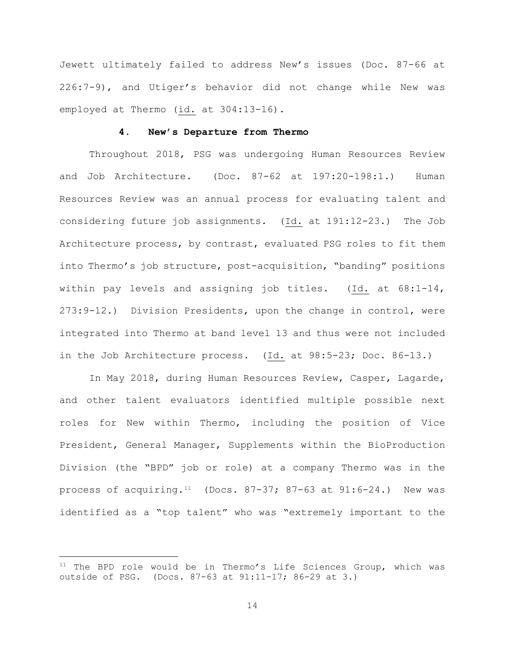Jewett ultimately failed to address New's issues (Doc. 87-66 at 226:7-9), and Utiger's behavior did not change while New was employed at Thermo (id. at 304:13-16).

## **4. New's Departure from Thermo**

Throughout 2018, PSG was undergoing Human Resources Review and Job Architecture. (Doc. 87-62 at 197:20-198:1.) Human Resources Review was an annual process for evaluating talent and considering future job assignments. (Id. at 191:12-23.) The Job Architecture process, by contrast, evaluated PSG roles to fit them into Thermo's job structure, post-acquisition, "banding" positions within pay levels and assigning job titles. (Id. at  $68:1-14$ , 273:9-12.) Division Presidents, upon the change in control, were integrated into Thermo at band level 13 and thus were not included in the Job Architecture process. (Id. at 98:5-23; Doc. 86-13.)

In May 2018, during Human Resources Review, Casper, Lagarde, and other talent evaluators identified multiple possible next roles for New within Thermo, including the position of Vice President, General Manager, Supplements within the BioProduction Division (the "BPD" job or role) at a company Thermo was in the process of acquiring.<sup>11</sup> (Docs. 87-37; 87-63 at  $91:6-24$ .) New was identified as a "top talent" who was "extremely important to the

 $11$  The BPD role would be in Thermo's Life Sciences Group, which was outside of PSG. (Docs. 87-63 at 91:11-17; 86-29 at 3.)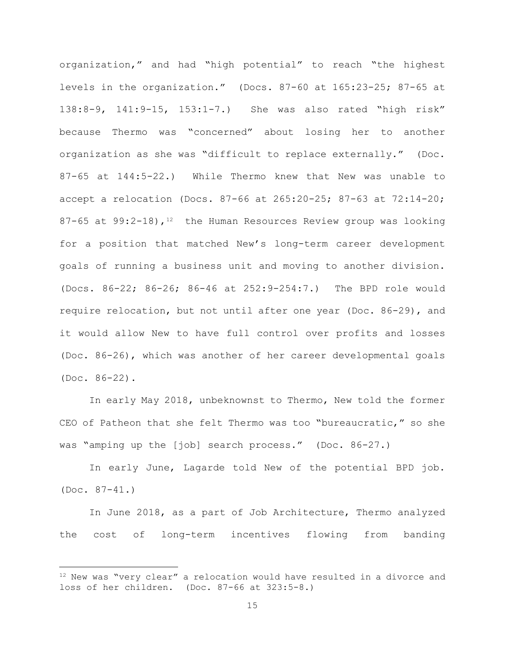organization," and had "high potential" to reach "the highest levels in the organization." (Docs. 87-60 at 165:23-25; 87-65 at 138:8-9, 141:9-15, 153:1-7.) She was also rated "high risk" because Thermo was "concerned" about losing her to another organization as she was "difficult to replace externally." (Doc. 87-65 at 144:5-22.) While Thermo knew that New was unable to accept a relocation (Docs. 87-66 at 265:20-25; 87-63 at 72:14-20; 87-65 at 99:2-18),  $12$  the Human Resources Review group was looking for a position that matched New's long-term career development goals of running a business unit and moving to another division. (Docs. 86-22; 86-26; 86-46 at 252:9-254:7.) The BPD role would require relocation, but not until after one year (Doc. 86-29), and it would allow New to have full control over profits and losses (Doc. 86-26), which was another of her career developmental goals (Doc. 86-22).

In early May 2018, unbeknownst to Thermo, New told the former CEO of Patheon that she felt Thermo was too "bureaucratic," so she was "amping up the [job] search process." (Doc. 86-27.)

In early June, Lagarde told New of the potential BPD job. (Doc. 87-41.)

In June 2018, as a part of Job Architecture, Thermo analyzed the cost of long-term incentives flowing from banding

 $12$  New was "very clear" a relocation would have resulted in a divorce and loss of her children. (Doc. 87-66 at 323:5-8.)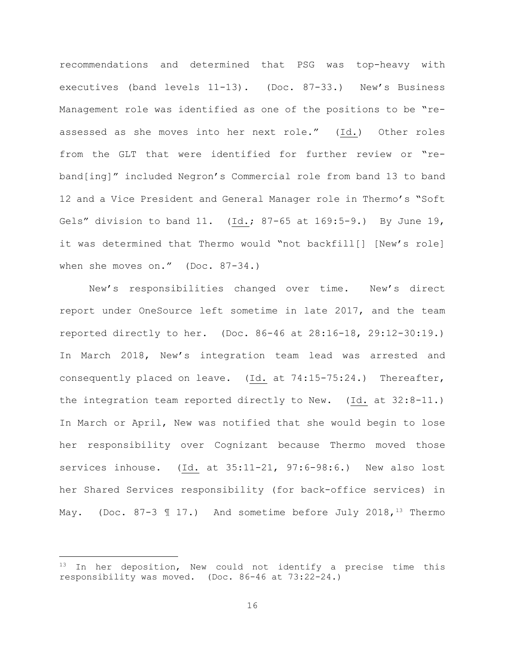recommendations and determined that PSG was top-heavy with executives (band levels 11-13). (Doc. 87-33.) New's Business Management role was identified as one of the positions to be "reassessed as she moves into her next role." (Id.) Other roles from the GLT that were identified for further review or "reband[ing]" included Negron's Commercial role from band 13 to band 12 and a Vice President and General Manager role in Thermo's "Soft Gels" division to band 11. (Id.; 87-65 at 169:5-9.) By June 19, it was determined that Thermo would "not backfill[] [New's role] when she moves on." (Doc. 87-34.)

New's responsibilities changed over time. New's direct report under OneSource left sometime in late 2017, and the team reported directly to her. (Doc. 86-46 at 28:16-18, 29:12-30:19.) In March 2018, New's integration team lead was arrested and consequently placed on leave. (Id. at 74:15-75:24.) Thereafter, the integration team reported directly to New. (Id. at 32:8-11.) In March or April, New was notified that she would begin to lose her responsibility over Cognizant because Thermo moved those services inhouse. (Id. at 35:11-21, 97:6-98:6.) New also lost her Shared Services responsibility (for back-office services) in May. (Doc. 87-3  $\text{\textsterling}$  17.) And sometime before July 2018, <sup>13</sup> Thermo

 $13$  In her deposition, New could not identify a precise time this responsibility was moved. (Doc. 86-46 at 73:22-24.)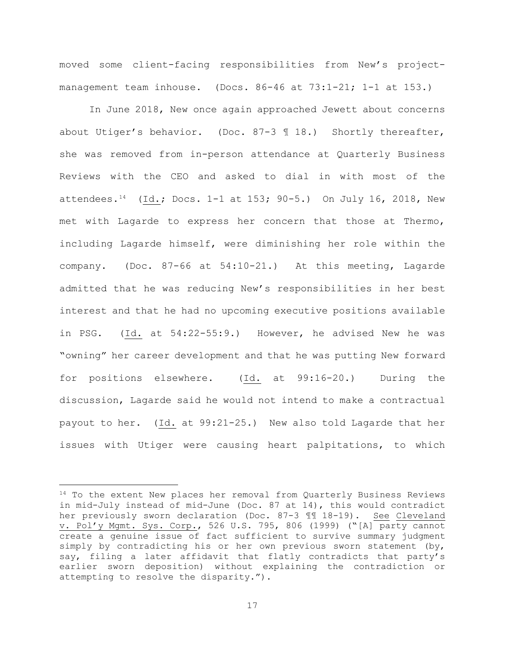moved some client-facing responsibilities from New's projectmanagement team inhouse. (Docs. 86-46 at 73:1-21; 1-1 at 153.)

In June 2018, New once again approached Jewett about concerns about Utiger's behavior. (Doc. 87-3 ¶ 18.) Shortly thereafter, she was removed from in-person attendance at Quarterly Business Reviews with the CEO and asked to dial in with most of the attendees.<sup>14</sup> (Id.; Docs. 1-1 at 153; 90-5.) On July 16, 2018, New met with Lagarde to express her concern that those at Thermo, including Lagarde himself, were diminishing her role within the company. (Doc. 87-66 at 54:10-21.) At this meeting, Lagarde admitted that he was reducing New's responsibilities in her best interest and that he had no upcoming executive positions available in PSG. (Id. at 54:22-55:9.) However, he advised New he was "owning" her career development and that he was putting New forward for positions elsewhere. (Id. at 99:16-20.) During the discussion, Lagarde said he would not intend to make a contractual payout to her. (Id. at 99:21-25.) New also told Lagarde that her issues with Utiger were causing heart palpitations, to which

<sup>&</sup>lt;sup>14</sup> To the extent New places her removal from Quarterly Business Reviews in mid-July instead of mid-June (Doc. 87 at 14), this would contradict her previously sworn declaration (Doc. 87-3 ¶¶ 18-19). See Cleveland v. Pol'y Mgmt. Sys. Corp., 526 U.S. 795, 806 (1999) ("[A] party cannot create a genuine issue of fact sufficient to survive summary judgment simply by contradicting his or her own previous sworn statement (by, say, filing a later affidavit that flatly contradicts that party's earlier sworn deposition) without explaining the contradiction or attempting to resolve the disparity.").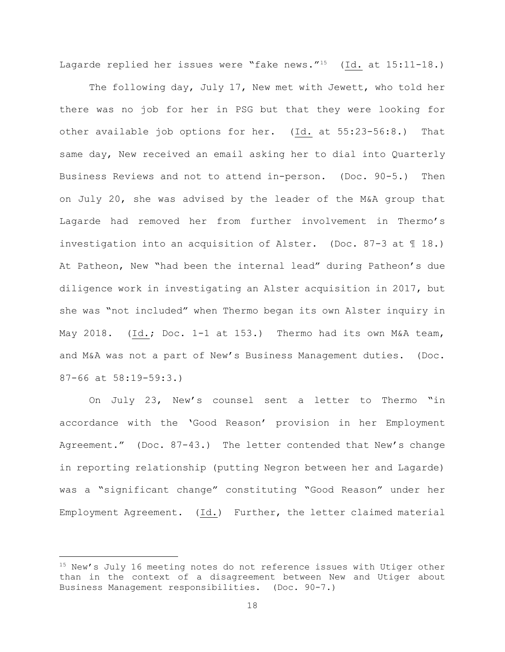Lagarde replied her issues were "fake news."15 (Id. at 15:11-18.)

The following day, July 17, New met with Jewett, who told her there was no job for her in PSG but that they were looking for other available job options for her. (Id. at 55:23-56:8.) That same day, New received an email asking her to dial into Quarterly Business Reviews and not to attend in-person. (Doc. 90-5.) Then on July 20, she was advised by the leader of the M&A group that Lagarde had removed her from further involvement in Thermo's investigation into an acquisition of Alster. (Doc. 87-3 at ¶ 18.) At Patheon, New "had been the internal lead" during Patheon's due diligence work in investigating an Alster acquisition in 2017, but she was "not included" when Thermo began its own Alster inquiry in May 2018. (Id.; Doc. 1-1 at 153.) Thermo had its own M&A team, and M&A was not a part of New's Business Management duties. (Doc. 87-66 at 58:19-59:3.)

On July 23, New's counsel sent a letter to Thermo "in accordance with the 'Good Reason' provision in her Employment Agreement." (Doc. 87-43.) The letter contended that New's change in reporting relationship (putting Negron between her and Lagarde) was a "significant change" constituting "Good Reason" under her Employment Agreement. (Id.) Further, the letter claimed material

<sup>&</sup>lt;sup>15</sup> New's July 16 meeting notes do not reference issues with Utiger other than in the context of a disagreement between New and Utiger about Business Management responsibilities. (Doc. 90-7.)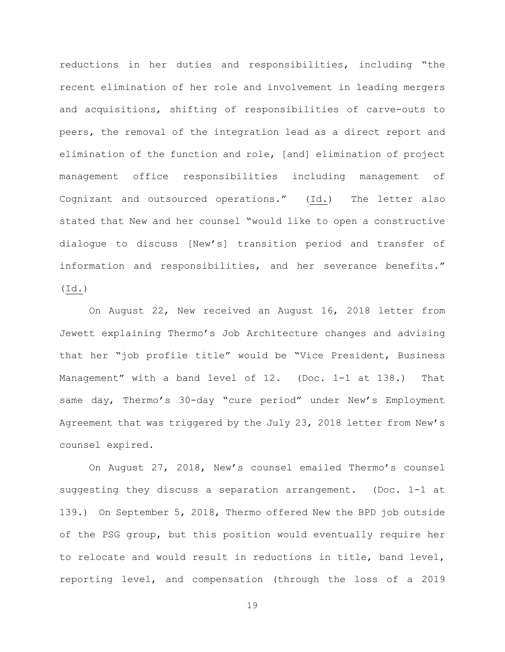reductions in her duties and responsibilities, including "the recent elimination of her role and involvement in leading mergers and acquisitions, shifting of responsibilities of carve-outs to peers, the removal of the integration lead as a direct report and elimination of the function and role, [and] elimination of project management office responsibilities including management of Cognizant and outsourced operations." (Id.) The letter also stated that New and her counsel "would like to open a constructive dialogue to discuss [New's] transition period and transfer of information and responsibilities, and her severance benefits." (Id.)

On August 22, New received an August 16, 2018 letter from Jewett explaining Thermo's Job Architecture changes and advising that her "job profile title" would be "Vice President, Business Management" with a band level of 12. (Doc. 1-1 at 138.) That same day, Thermo's 30-day "cure period" under New's Employment Agreement that was triggered by the July 23, 2018 letter from New's counsel expired.

On August 27, 2018, New's counsel emailed Thermo's counsel suggesting they discuss a separation arrangement. (Doc. 1-1 at 139.) On September 5, 2018, Thermo offered New the BPD job outside of the PSG group, but this position would eventually require her to relocate and would result in reductions in title, band level, reporting level, and compensation (through the loss of a 2019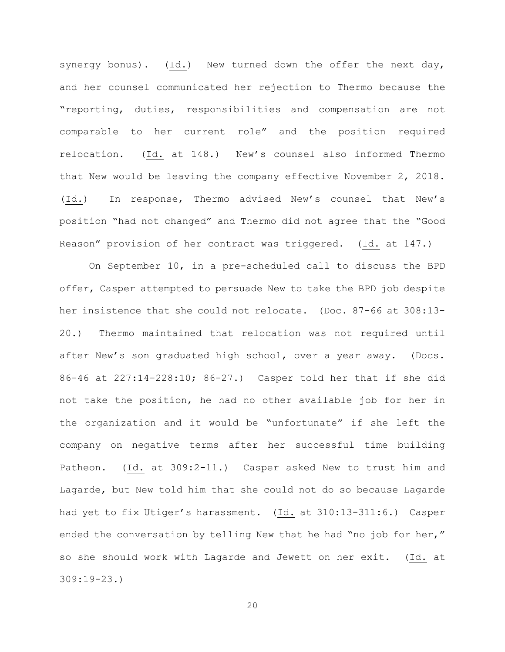synergy bonus). (Id.) New turned down the offer the next day, and her counsel communicated her rejection to Thermo because the "reporting, duties, responsibilities and compensation are not comparable to her current role" and the position required relocation. (Id. at 148.) New's counsel also informed Thermo that New would be leaving the company effective November 2, 2018. (Id.) In response, Thermo advised New's counsel that New's position "had not changed" and Thermo did not agree that the "Good Reason" provision of her contract was triggered. (Id. at 147.)

On September 10, in a pre-scheduled call to discuss the BPD offer, Casper attempted to persuade New to take the BPD job despite her insistence that she could not relocate. (Doc. 87-66 at 308:13- 20.) Thermo maintained that relocation was not required until after New's son graduated high school, over a year away. (Docs. 86-46 at 227:14-228:10; 86-27.) Casper told her that if she did not take the position, he had no other available job for her in the organization and it would be "unfortunate" if she left the company on negative terms after her successful time building Patheon. (Id. at 309:2-11.) Casper asked New to trust him and Lagarde, but New told him that she could not do so because Lagarde had yet to fix Utiger's harassment. (Id. at 310:13-311:6.) Casper ended the conversation by telling New that he had "no job for her," so she should work with Lagarde and Jewett on her exit. (Id. at 309:19-23.)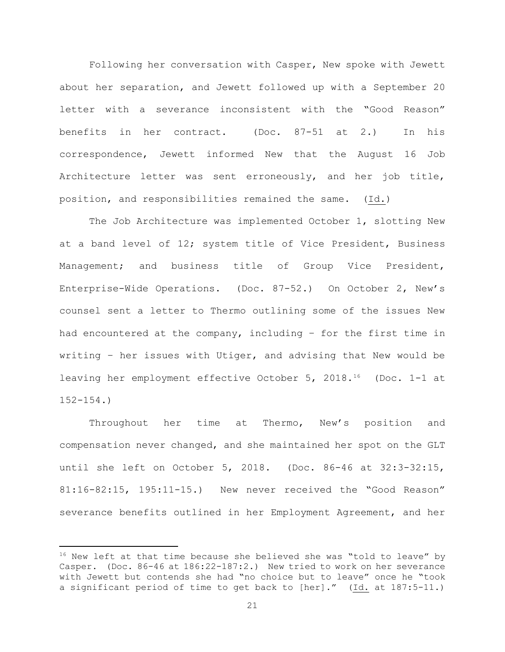Following her conversation with Casper, New spoke with Jewett about her separation, and Jewett followed up with a September 20 letter with a severance inconsistent with the "Good Reason" benefits in her contract. (Doc. 87-51 at 2.) In his correspondence, Jewett informed New that the August 16 Job Architecture letter was sent erroneously, and her job title, position, and responsibilities remained the same. (Id.)

The Job Architecture was implemented October 1, slotting New at a band level of 12; system title of Vice President, Business Management; and business title of Group Vice President, Enterprise-Wide Operations. (Doc. 87-52.) On October 2, New's counsel sent a letter to Thermo outlining some of the issues New had encountered at the company, including – for the first time in writing – her issues with Utiger, and advising that New would be leaving her employment effective October 5, 2018.16 (Doc. 1-1 at 152-154.)

Throughout her time at Thermo, New's position and compensation never changed, and she maintained her spot on the GLT until she left on October 5, 2018. (Doc. 86-46 at 32:3-32:15, 81:16-82:15, 195:11-15.) New never received the "Good Reason" severance benefits outlined in her Employment Agreement, and her

 $16$  New left at that time because she believed she was "told to leave" by Casper. (Doc. 86-46 at 186:22-187:2.) New tried to work on her severance with Jewett but contends she had "no choice but to leave" once he "took a significant period of time to get back to [her]." (Id. at 187:5-11.)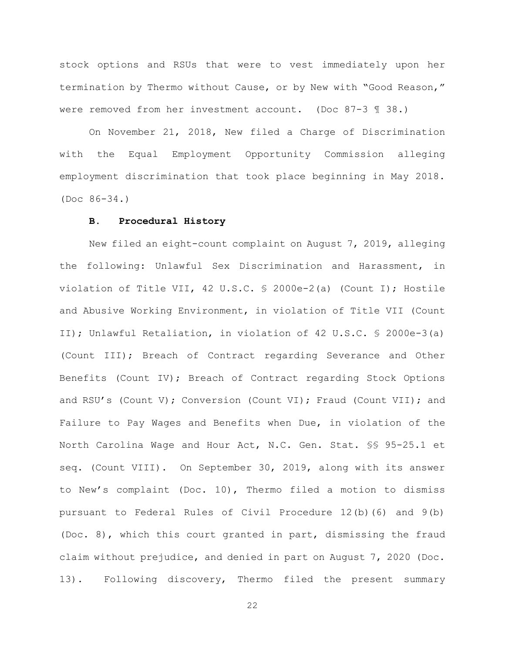stock options and RSUs that were to vest immediately upon her termination by Thermo without Cause, or by New with "Good Reason," were removed from her investment account. (Doc 87-3 ¶ 38.)

On November 21, 2018, New filed a Charge of Discrimination with the Equal Employment Opportunity Commission alleging employment discrimination that took place beginning in May 2018. (Doc 86-34.)

#### **B. Procedural History**

New filed an eight-count complaint on August 7, 2019, alleging the following: Unlawful Sex Discrimination and Harassment, in violation of Title VII, 42 U.S.C. § 2000e-2(a) (Count I); Hostile and Abusive Working Environment, in violation of Title VII (Count II); Unlawful Retaliation, in violation of 42 U.S.C. § 2000e-3(a) (Count III); Breach of Contract regarding Severance and Other Benefits (Count IV); Breach of Contract regarding Stock Options and RSU's (Count V); Conversion (Count VI); Fraud (Count VII); and Failure to Pay Wages and Benefits when Due, in violation of the North Carolina Wage and Hour Act, N.C. Gen. Stat. §§ 95-25.1 et seq. (Count VIII). On September 30, 2019, along with its answer to New's complaint (Doc. 10), Thermo filed a motion to dismiss pursuant to Federal Rules of Civil Procedure 12(b)(6) and 9(b) (Doc. 8), which this court granted in part, dismissing the fraud claim without prejudice, and denied in part on August 7, 2020 (Doc. 13). Following discovery, Thermo filed the present summary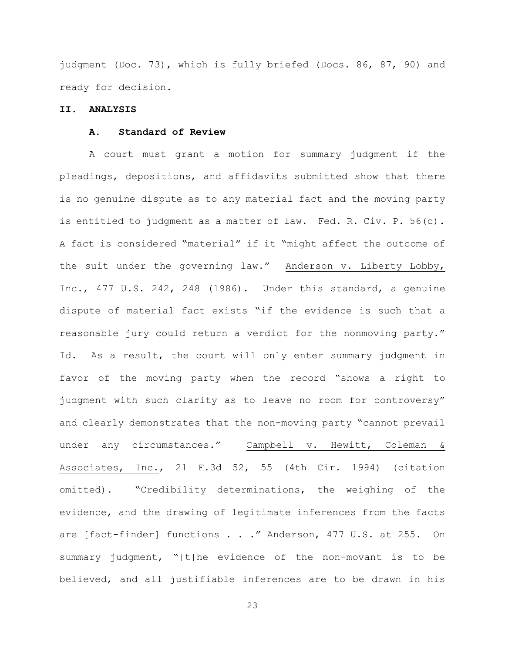judgment (Doc. 73), which is fully briefed (Docs. 86, 87, 90) and ready for decision.

## **II. ANALYSIS**

## **A. Standard of Review**

A court must grant a motion for summary judgment if the pleadings, depositions, and affidavits submitted show that there is no genuine dispute as to any material fact and the moving party is entitled to judgment as a matter of law. Fed. R. Civ. P. 56(c). A fact is considered "material" if it "might affect the outcome of the suit under the governing law." Anderson v. Liberty Lobby, Inc., 477 U.S. 242, 248 (1986). Under this standard, a genuine dispute of material fact exists "if the evidence is such that a reasonable jury could return a verdict for the nonmoving party." Id. As a result, the court will only enter summary judgment in favor of the moving party when the record "shows a right to judgment with such clarity as to leave no room for controversy" and clearly demonstrates that the non-moving party "cannot prevail under any circumstances." Campbell v. Hewitt, Coleman & Associates, Inc., 21 F.3d 52, 55 (4th Cir. 1994) (citation omitted). "Credibility determinations, the weighing of the evidence, and the drawing of legitimate inferences from the facts are [fact-finder] functions . . ." Anderson, 477 U.S. at 255. On summary judgment, "[t]he evidence of the non-movant is to be believed, and all justifiable inferences are to be drawn in his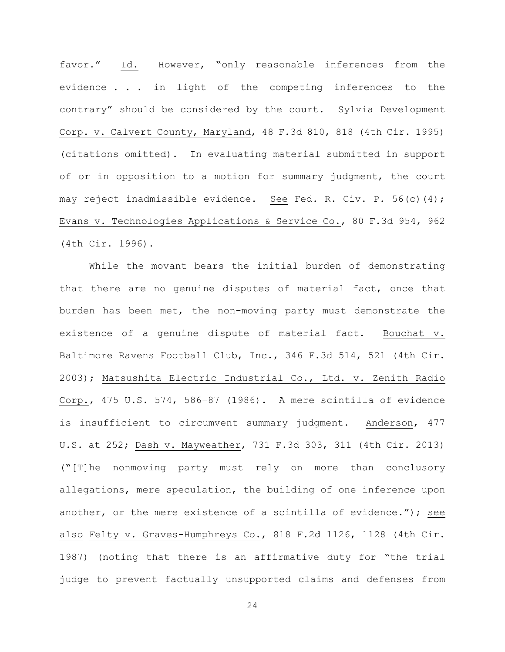favor." Id. However, "only reasonable inferences from the evidence . . . in light of the competing inferences to the contrary" should be considered by the court. Sylvia Development Corp. v. Calvert County, Maryland, 48 F.3d 810, 818 (4th Cir. 1995) (citations omitted). In evaluating material submitted in support of or in opposition to a motion for summary judgment, the court may reject inadmissible evidence. See Fed. R. Civ. P. 56(c)(4); Evans v. Technologies Applications & Service Co., 80 F.3d 954, 962 (4th Cir. 1996).

While the movant bears the initial burden of demonstrating that there are no genuine disputes of material fact, once that burden has been met, the non-moving party must demonstrate the existence of a genuine dispute of material fact. Bouchat v. Baltimore Ravens Football Club, Inc., 346 F.3d 514, 521 (4th Cir. 2003); Matsushita Electric Industrial Co., Ltd. v. Zenith Radio Corp., 475 U.S. 574, 586–87 (1986). A mere scintilla of evidence is insufficient to circumvent summary judgment. Anderson, 477 U.S. at 252; Dash v. Mayweather, 731 F.3d 303, 311 (4th Cir. 2013) ("[T]he nonmoving party must rely on more than conclusory allegations, mere speculation, the building of one inference upon another, or the mere existence of a scintilla of evidence."); see also Felty v. Graves-Humphreys Co., 818 F.2d 1126, 1128 (4th Cir. 1987) (noting that there is an affirmative duty for "the trial judge to prevent factually unsupported claims and defenses from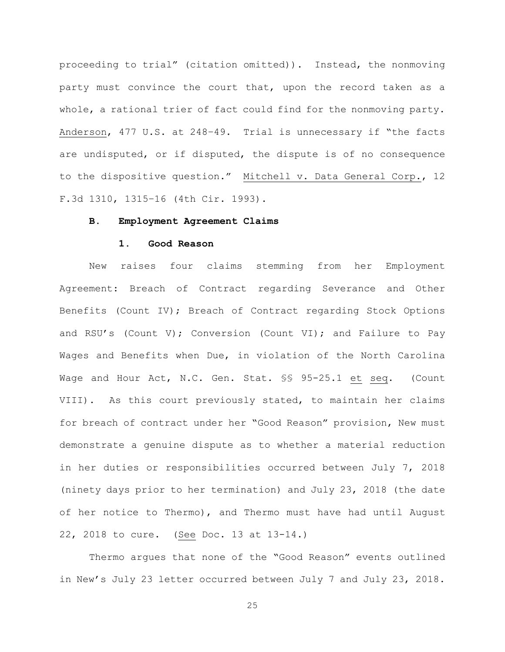proceeding to trial" (citation omitted)). Instead, the nonmoving party must convince the court that, upon the record taken as a whole, a rational trier of fact could find for the nonmoving party. Anderson, 477 U.S. at 248–49. Trial is unnecessary if "the facts are undisputed, or if disputed, the dispute is of no consequence to the dispositive question." Mitchell v. Data General Corp., 12 F.3d 1310, 1315–16 (4th Cir. 1993).

#### **B. Employment Agreement Claims**

### **1. Good Reason**

New raises four claims stemming from her Employment Agreement: Breach of Contract regarding Severance and Other Benefits (Count IV); Breach of Contract regarding Stock Options and RSU's (Count V); Conversion (Count VI); and Failure to Pay Wages and Benefits when Due, in violation of the North Carolina Wage and Hour Act, N.C. Gen. Stat. §§ 95-25.1 et seq. (Count VIII). As this court previously stated, to maintain her claims for breach of contract under her "Good Reason" provision, New must demonstrate a genuine dispute as to whether a material reduction in her duties or responsibilities occurred between July 7, 2018 (ninety days prior to her termination) and July 23, 2018 (the date of her notice to Thermo), and Thermo must have had until August 22, 2018 to cure. (See Doc. 13 at 13-14.)

Thermo argues that none of the "Good Reason" events outlined in New's July 23 letter occurred between July 7 and July 23, 2018.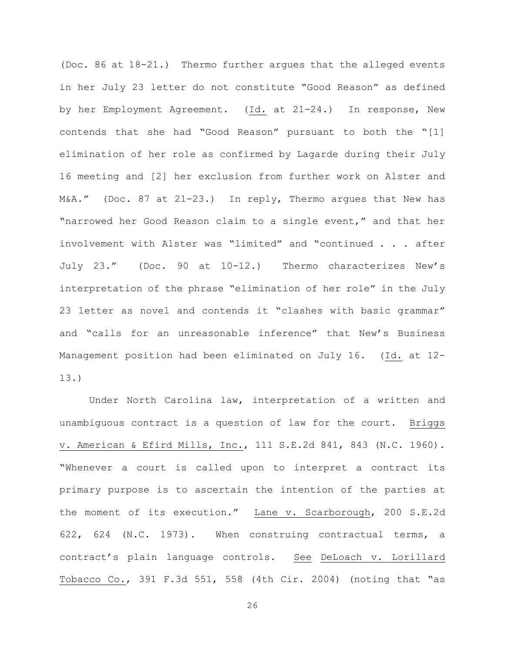(Doc. 86 at 18-21.) Thermo further argues that the alleged events in her July 23 letter do not constitute "Good Reason" as defined by her Employment Agreement. (Id. at 21-24.) In response, New contends that she had "Good Reason" pursuant to both the "[1] elimination of her role as confirmed by Lagarde during their July 16 meeting and [2] her exclusion from further work on Alster and M&A." (Doc. 87 at 21-23.) In reply, Thermo argues that New has "narrowed her Good Reason claim to a single event," and that her involvement with Alster was "limited" and "continued . . . after July 23." (Doc. 90 at 10-12.) Thermo characterizes New's interpretation of the phrase "elimination of her role" in the July 23 letter as novel and contends it "clashes with basic grammar" and "calls for an unreasonable inference" that New's Business Management position had been eliminated on July 16. (Id. at 12- 13.)

Under North Carolina law, interpretation of a written and unambiguous contract is a question of law for the court. Briggs v. American & Efird Mills, Inc., 111 S.E.2d 841, 843 (N.C. 1960). "Whenever a court is called upon to interpret a contract its primary purpose is to ascertain the intention of the parties at the moment of its execution." Lane v. Scarborough, 200 S.E.2d 622, 624 (N.C. 1973). When construing contractual terms, a contract's plain language controls. See DeLoach v. Lorillard Tobacco Co., 391 F.3d 551, 558 (4th Cir. 2004) (noting that "as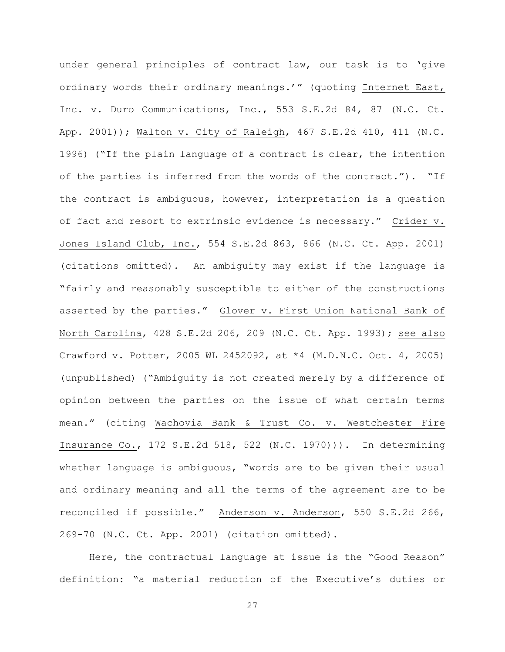under general principles of contract law, our task is to 'give ordinary words their ordinary meanings.'" (quoting Internet East, Inc. v. Duro Communications, Inc., 553 S.E.2d 84, 87 (N.C. Ct. App. 2001)); Walton v. City of Raleigh, 467 S.E.2d 410, 411 (N.C. 1996) ("If the plain language of a contract is clear, the intention of the parties is inferred from the words of the contract."). "If the contract is ambiguous, however, interpretation is a question of fact and resort to extrinsic evidence is necessary." Crider v. Jones Island Club, Inc., 554 S.E.2d 863, 866 (N.C. Ct. App. 2001) (citations omitted). An ambiguity may exist if the language is "fairly and reasonably susceptible to either of the constructions asserted by the parties." Glover v. First Union National Bank of North Carolina, 428 S.E.2d 206, 209 (N.C. Ct. App. 1993); see also Crawford v. Potter, 2005 WL 2452092, at \*4 (M.D.N.C. Oct. 4, 2005) (unpublished) ("Ambiguity is not created merely by a difference of opinion between the parties on the issue of what certain terms mean." (citing Wachovia Bank & Trust Co. v. Westchester Fire Insurance Co., 172 S.E.2d 518, 522 (N.C. 1970))). In determining whether language is ambiguous, "words are to be given their usual and ordinary meaning and all the terms of the agreement are to be reconciled if possible." Anderson v. Anderson, 550 S.E.2d 266, 269-70 (N.C. Ct. App. 2001) (citation omitted).

Here, the contractual language at issue is the "Good Reason" definition: "a material reduction of the Executive's duties or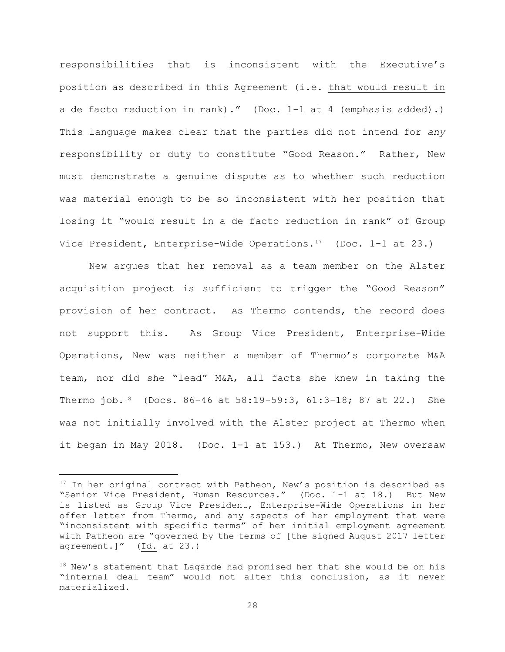responsibilities that is inconsistent with the Executive's position as described in this Agreement (i.e. that would result in a de facto reduction in rank)." (Doc. 1-1 at 4 (emphasis added).) This language makes clear that the parties did not intend for *any* responsibility or duty to constitute "Good Reason." Rather, New must demonstrate a genuine dispute as to whether such reduction was material enough to be so inconsistent with her position that losing it "would result in a de facto reduction in rank" of Group Vice President, Enterprise-Wide Operations.<sup>17</sup> (Doc. 1-1 at 23.)

New argues that her removal as a team member on the Alster acquisition project is sufficient to trigger the "Good Reason" provision of her contract. As Thermo contends, the record does not support this. As Group Vice President, Enterprise-Wide Operations, New was neither a member of Thermo's corporate M&A team, nor did she "lead" M&A, all facts she knew in taking the Thermo job.18 (Docs. 86-46 at 58:19-59:3, 61:3-18; 87 at 22.) She was not initially involved with the Alster project at Thermo when it began in May 2018. (Doc. 1-1 at 153.) At Thermo, New oversaw

<sup>&</sup>lt;sup>17</sup> In her original contract with Patheon, New's position is described as "Senior Vice President, Human Resources." (Doc. 1-1 at 18.) But New is listed as Group Vice President, Enterprise-Wide Operations in her offer letter from Thermo, and any aspects of her employment that were "inconsistent with specific terms" of her initial employment agreement with Patheon are "governed by the terms of [the signed August 2017 letter agreement.]" (Id. at 23.)

<sup>18</sup> New's statement that Lagarde had promised her that she would be on his "internal deal team" would not alter this conclusion, as it never materialized.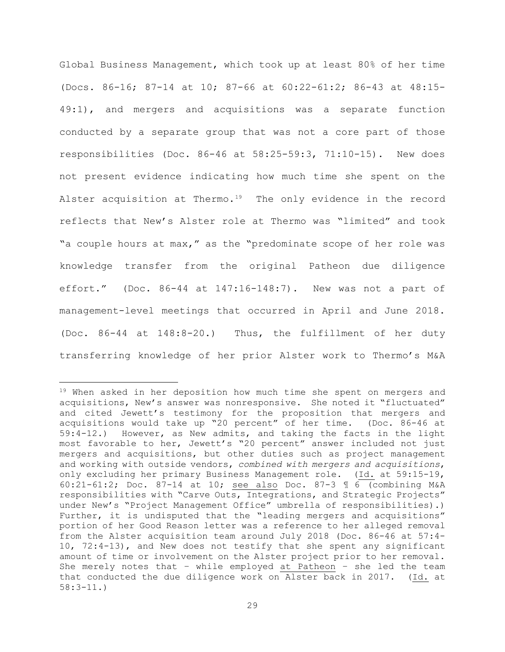Global Business Management, which took up at least 80% of her time (Docs. 86-16; 87-14 at 10; 87-66 at 60:22-61:2; 86-43 at 48:15- 49:1), and mergers and acquisitions was a separate function conducted by a separate group that was not a core part of those responsibilities (Doc. 86-46 at 58:25-59:3, 71:10-15). New does not present evidence indicating how much time she spent on the Alster acquisition at Thermo.<sup>19</sup> The only evidence in the record reflects that New's Alster role at Thermo was "limited" and took "a couple hours at max," as the "predominate scope of her role was knowledge transfer from the original Patheon due diligence effort." (Doc. 86-44 at 147:16-148:7). New was not a part of management-level meetings that occurred in April and June 2018. (Doc. 86-44 at 148:8-20.) Thus, the fulfillment of her duty transferring knowledge of her prior Alster work to Thermo's M&A

<sup>&</sup>lt;sup>19</sup> When asked in her deposition how much time she spent on mergers and acquisitions, New's answer was nonresponsive. She noted it "fluctuated" and cited Jewett's testimony for the proposition that mergers and acquisitions would take up "20 percent" of her time. (Doc. 86-46 at 59:4-12.) However, as New admits, and taking the facts in the light most favorable to her, Jewett's "20 percent" answer included not just mergers and acquisitions, but other duties such as project management and working with outside vendors, *combined with mergers and acquisitions*, only excluding her primary Business Management role. (Id. at 59:15-19, 60:21-61:2; Doc. 87-14 at 10; see also Doc. 87-3 ¶ 6 (combining M&A responsibilities with "Carve Outs, Integrations, and Strategic Projects" under New's "Project Management Office" umbrella of responsibilities).) Further, it is undisputed that the "leading mergers and acquisitions" portion of her Good Reason letter was a reference to her alleged removal from the Alster acquisition team around July 2018 (Doc. 86-46 at 57:4- 10, 72:4-13), and New does not testify that she spent any significant amount of time or involvement on the Alster project prior to her removal. She merely notes that – while employed at Patheon – she led the team that conducted the due diligence work on Alster back in 2017. (Id. at 58:3-11.)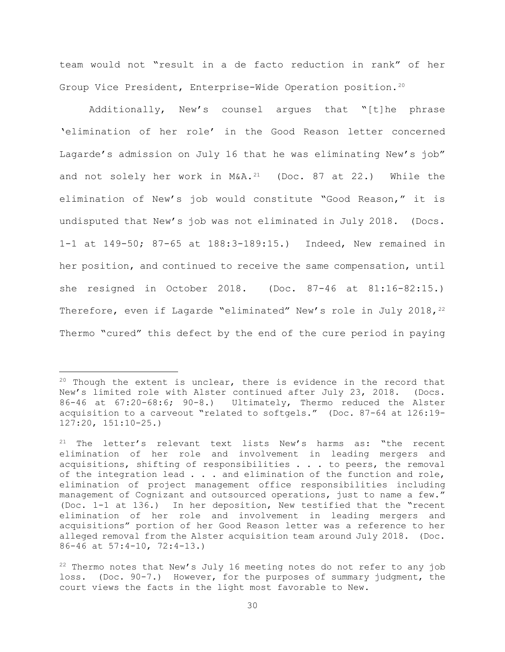team would not "result in a de facto reduction in rank" of her Group Vice President, Enterprise-Wide Operation position.20

Additionally, New's counsel argues that "[t]he phrase 'elimination of her role' in the Good Reason letter concerned Lagarde's admission on July 16 that he was eliminating New's job" and not solely her work in  $MSA.^{21}$  (Doc. 87 at 22.) While the elimination of New's job would constitute "Good Reason," it is undisputed that New's job was not eliminated in July 2018. (Docs. 1-1 at 149-50; 87-65 at 188:3-189:15.) Indeed, New remained in her position, and continued to receive the same compensation, until she resigned in October 2018. (Doc. 87-46 at 81:16-82:15.) Therefore, even if Lagarde "eliminated" New's role in July 2018,  $2^{22}$ Thermo "cured" this defect by the end of the cure period in paying

 $20$  Though the extent is unclear, there is evidence in the record that New's limited role with Alster continued after July 23, 2018. (Docs. 86-46 at 67:20-68:6; 90-8.) Ultimately, Thermo reduced the Alster acquisition to a carveout "related to softgels." (Doc. 87-64 at 126:19- 127:20, 151:10-25.)

 $21$  The letter's relevant text lists New's harms as: "the recent elimination of her role and involvement in leading mergers and acquisitions, shifting of responsibilities . . . to peers, the removal of the integration lead  $\ldots$  and elimination of the function and role, elimination of project management office responsibilities including management of Cognizant and outsourced operations, just to name a few." (Doc. 1-1 at 136.) In her deposition, New testified that the "recent elimination of her role and involvement in leading mergers and acquisitions" portion of her Good Reason letter was a reference to her alleged removal from the Alster acquisition team around July 2018. (Doc. 86-46 at 57:4-10, 72:4-13.)

 $22$  Thermo notes that New's July 16 meeting notes do not refer to any job loss. (Doc. 90-7.) However, for the purposes of summary judgment, the court views the facts in the light most favorable to New.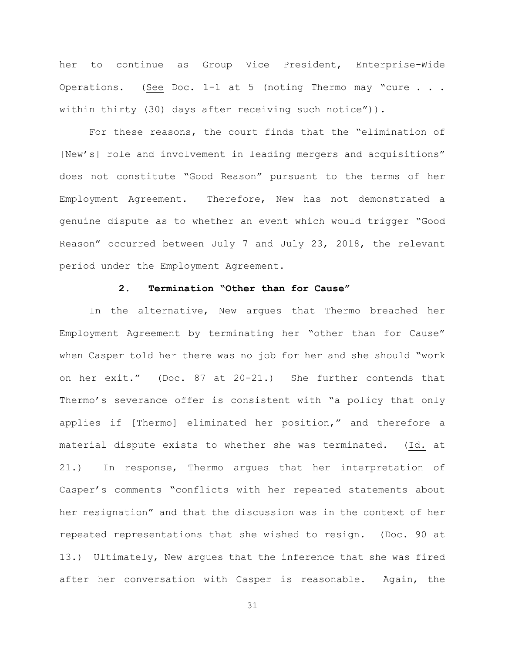her to continue as Group Vice President, Enterprise-Wide Operations. (See Doc. 1-1 at 5 (noting Thermo may "cure . . . within thirty (30) days after receiving such notice")).

For these reasons, the court finds that the "elimination of [New's] role and involvement in leading mergers and acquisitions" does not constitute "Good Reason" pursuant to the terms of her Employment Agreement. Therefore, New has not demonstrated a genuine dispute as to whether an event which would trigger "Good Reason" occurred between July 7 and July 23, 2018, the relevant period under the Employment Agreement.

# **2. Termination "Other than for Cause"**

In the alternative, New argues that Thermo breached her Employment Agreement by terminating her "other than for Cause" when Casper told her there was no job for her and she should "work on her exit." (Doc. 87 at 20-21.) She further contends that Thermo's severance offer is consistent with "a policy that only applies if [Thermo] eliminated her position," and therefore a material dispute exists to whether she was terminated. (Id. at 21.) In response, Thermo argues that her interpretation of Casper's comments "conflicts with her repeated statements about her resignation" and that the discussion was in the context of her repeated representations that she wished to resign. (Doc. 90 at 13.) Ultimately, New argues that the inference that she was fired after her conversation with Casper is reasonable. Again, the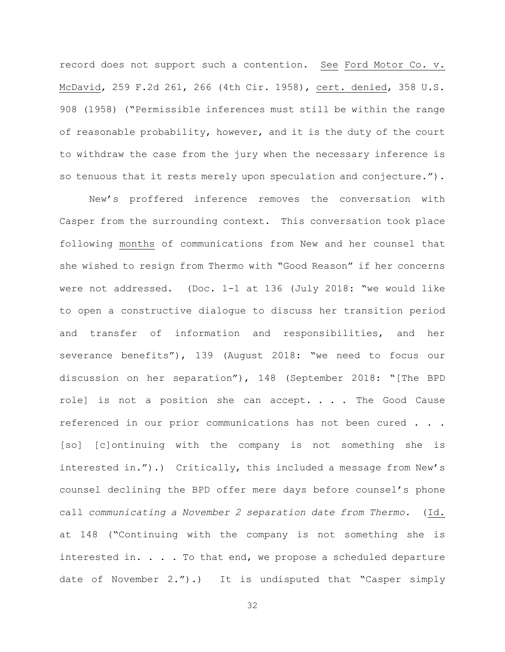record does not support such a contention. See Ford Motor Co. v. McDavid, 259 F.2d 261, 266 (4th Cir. 1958), cert. denied, 358 U.S. 908 (1958) ("Permissible inferences must still be within the range of reasonable probability, however, and it is the duty of the court to withdraw the case from the jury when the necessary inference is so tenuous that it rests merely upon speculation and conjecture.").

New's proffered inference removes the conversation with Casper from the surrounding context. This conversation took place following months of communications from New and her counsel that she wished to resign from Thermo with "Good Reason" if her concerns were not addressed. (Doc. 1-1 at 136 (July 2018: "we would like to open a constructive dialogue to discuss her transition period and transfer of information and responsibilities, and her severance benefits"), 139 (August 2018: "we need to focus our discussion on her separation"), 148 (September 2018: "[The BPD role] is not a position she can accept. . . . The Good Cause referenced in our prior communications has not been cured . . . [so] [c]ontinuing with the company is not something she is interested in.").) Critically, this included a message from New's counsel declining the BPD offer mere days before counsel's phone call *communicating a November 2 separation date from Thermo.* (Id. at 148 ("Continuing with the company is not something she is interested in. . . . To that end, we propose a scheduled departure date of November 2.").) It is undisputed that "Casper simply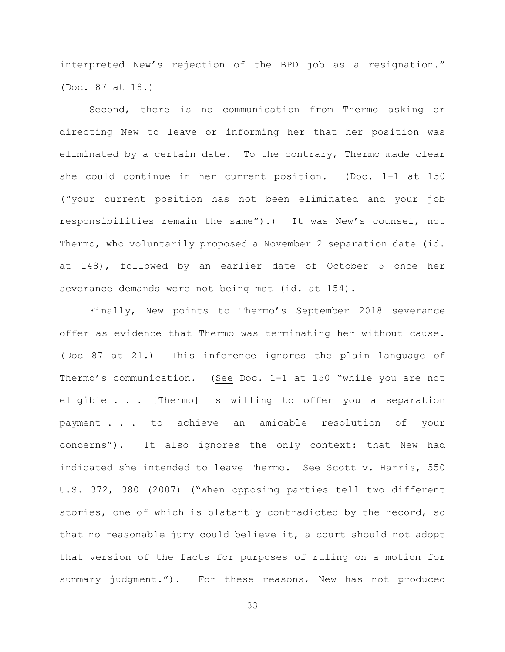interpreted New's rejection of the BPD job as a resignation." (Doc. 87 at 18.)

Second, there is no communication from Thermo asking or directing New to leave or informing her that her position was eliminated by a certain date. To the contrary, Thermo made clear she could continue in her current position. (Doc. 1-1 at 150 ("your current position has not been eliminated and your job responsibilities remain the same").) It was New's counsel, not Thermo, who voluntarily proposed a November 2 separation date (id. at 148), followed by an earlier date of October 5 once her severance demands were not being met (id. at 154).

Finally, New points to Thermo's September 2018 severance offer as evidence that Thermo was terminating her without cause. (Doc 87 at 21.) This inference ignores the plain language of Thermo's communication. (See Doc. 1-1 at 150 "while you are not eligible . . . [Thermo] is willing to offer you a separation payment . . . to achieve an amicable resolution of your concerns"). It also ignores the only context: that New had indicated she intended to leave Thermo. See Scott v. Harris, 550 U.S. 372, 380 (2007) ("When opposing parties tell two different stories, one of which is blatantly contradicted by the record, so that no reasonable jury could believe it, a court should not adopt that version of the facts for purposes of ruling on a motion for summary judgment."). For these reasons, New has not produced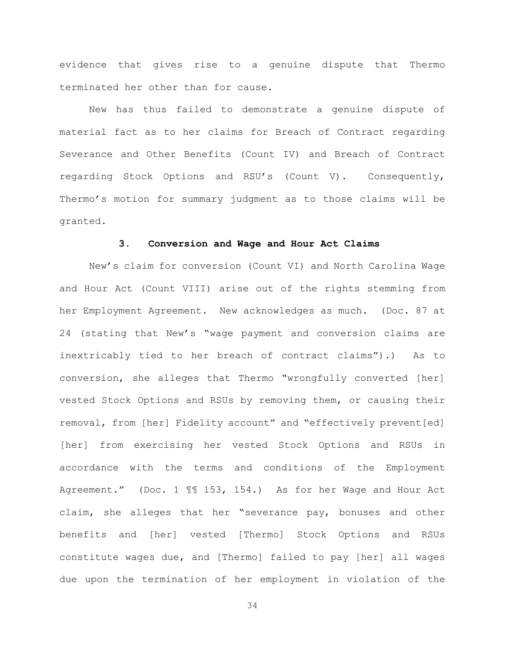evidence that gives rise to a genuine dispute that Thermo terminated her other than for cause.

New has thus failed to demonstrate a genuine dispute of material fact as to her claims for Breach of Contract regarding Severance and Other Benefits (Count IV) and Breach of Contract regarding Stock Options and RSU's (Count V). Consequently, Thermo's motion for summary judgment as to those claims will be granted.

## **3. Conversion and Wage and Hour Act Claims**

New's claim for conversion (Count VI) and North Carolina Wage and Hour Act (Count VIII) arise out of the rights stemming from her Employment Agreement. New acknowledges as much. (Doc. 87 at 24 (stating that New's "wage payment and conversion claims are inextricably tied to her breach of contract claims").) As to conversion, she alleges that Thermo "wrongfully converted [her] vested Stock Options and RSUs by removing them, or causing their removal, from [her] Fidelity account" and "effectively prevent[ed] [her] from exercising her vested Stock Options and RSUs in accordance with the terms and conditions of the Employment Agreement." (Doc. 1 ¶¶ 153, 154.) As for her Wage and Hour Act claim, she alleges that her "severance pay, bonuses and other benefits and [her] vested [Thermo] Stock Options and RSUs constitute wages due, and [Thermo] failed to pay [her] all wages due upon the termination of her employment in violation of the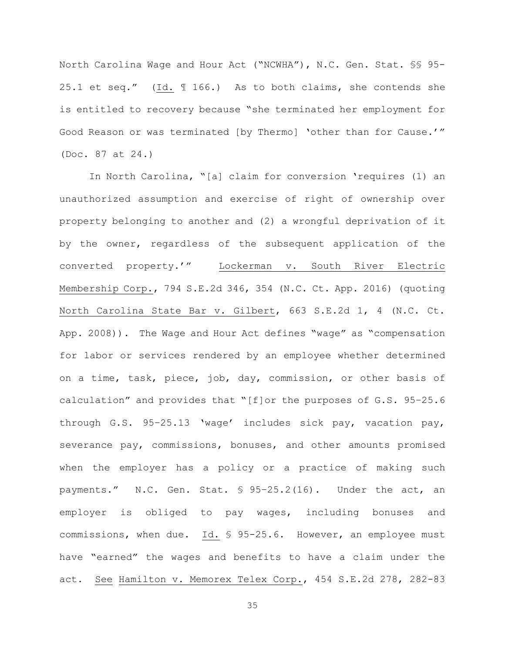North Carolina Wage and Hour Act ("NCWHA"), N.C. Gen. Stat. §§ 95- 25.1 et seq." (Id. ¶ 166.) As to both claims, she contends she is entitled to recovery because "she terminated her employment for Good Reason or was terminated [by Thermo] 'other than for Cause.'" (Doc. 87 at 24.)

In North Carolina, "[a] claim for conversion 'requires (1) an unauthorized assumption and exercise of right of ownership over property belonging to another and (2) a wrongful deprivation of it by the owner, regardless of the subsequent application of the converted property.'" Lockerman v. South River Electric Membership Corp., 794 S.E.2d 346, 354 (N.C. Ct. App. 2016) (quoting North Carolina State Bar v. Gilbert, 663 S.E.2d 1, 4 (N.C. Ct. App. 2008)). The Wage and Hour Act defines "wage" as "compensation for labor or services rendered by an employee whether determined on a time, task, piece, job, day, commission, or other basis of calculation" and provides that "[f]or the purposes of G.S. 95–25.6 through G.S. 95–25.13 'wage' includes sick pay, vacation pay, severance pay, commissions, bonuses, and other amounts promised when the employer has a policy or a practice of making such payments." N.C. Gen. Stat. § 95–25.2(16). Under the act, an employer is obliged to pay wages, including bonuses and commissions, when due. Id. § 95-25.6. However, an employee must have "earned" the wages and benefits to have a claim under the act. See Hamilton v. Memorex Telex Corp., 454 S.E.2d 278, 282-83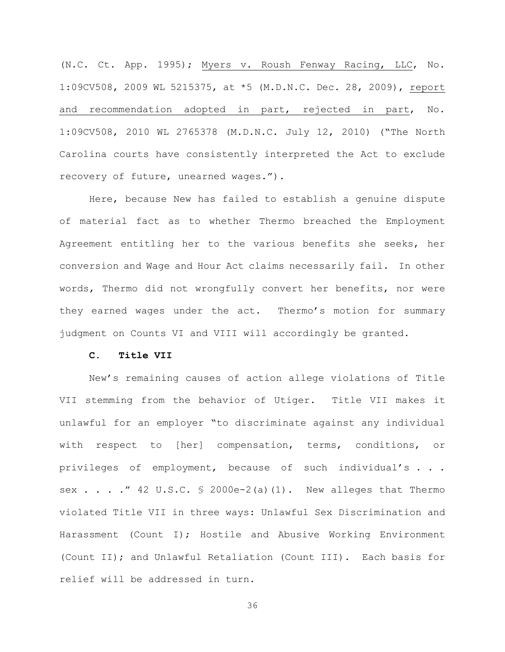(N.C. Ct. App. 1995); Myers v. Roush Fenway Racing, LLC, No. 1:09CV508, 2009 WL 5215375, at \*5 (M.D.N.C. Dec. 28, 2009), report and recommendation adopted in part, rejected in part, No. 1:09CV508, 2010 WL 2765378 (M.D.N.C. July 12, 2010) ("The North Carolina courts have consistently interpreted the Act to exclude recovery of future, unearned wages.").

Here, because New has failed to establish a genuine dispute of material fact as to whether Thermo breached the Employment Agreement entitling her to the various benefits she seeks, her conversion and Wage and Hour Act claims necessarily fail. In other words, Thermo did not wrongfully convert her benefits, nor were they earned wages under the act. Thermo's motion for summary judgment on Counts VI and VIII will accordingly be granted.

## **C. Title VII**

New's remaining causes of action allege violations of Title VII stemming from the behavior of Utiger. Title VII makes it unlawful for an employer "to discriminate against any individual with respect to [her] compensation, terms, conditions, or privileges of employment, because of such individual's . . . sex  $\ldots$  . . " 42 U.S.C. § 2000e-2(a)(1). New alleges that Thermo violated Title VII in three ways: Unlawful Sex Discrimination and Harassment (Count I); Hostile and Abusive Working Environment (Count II); and Unlawful Retaliation (Count III). Each basis for relief will be addressed in turn.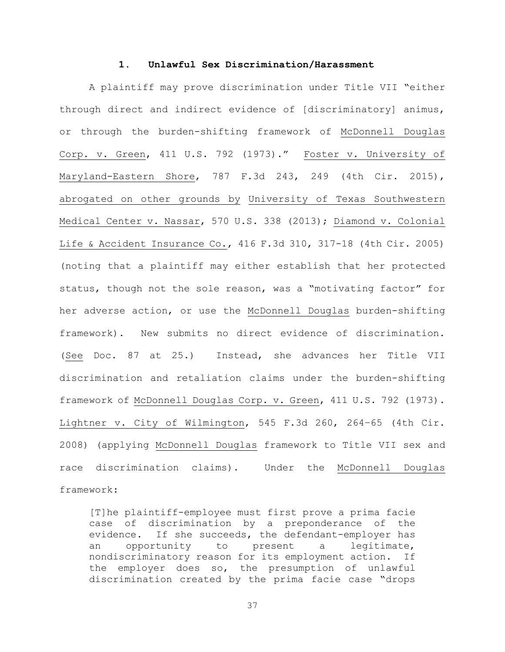### **1. Unlawful Sex Discrimination/Harassment**

A plaintiff may prove discrimination under Title VII "either through direct and indirect evidence of [discriminatory] animus, or through the burden-shifting framework of McDonnell Douglas Corp. v. Green, 411 U.S. 792 (1973)." Foster v. University of Maryland-Eastern Shore, 787 F.3d 243, 249 (4th Cir. 2015), abrogated on other grounds by University of Texas Southwestern Medical Center v. Nassar, 570 U.S. 338 (2013); Diamond v. Colonial Life & Accident Insurance Co., 416 F.3d 310, 317-18 (4th Cir. 2005) (noting that a plaintiff may either establish that her protected status, though not the sole reason, was a "motivating factor" for her adverse action, or use the McDonnell Douglas burden-shifting framework). New submits no direct evidence of discrimination. (See Doc. 87 at 25.) Instead, she advances her Title VII discrimination and retaliation claims under the burden-shifting framework of McDonnell Douglas Corp. v. Green, 411 U.S. 792 (1973). Lightner v. City of Wilmington, 545 F.3d 260, 264–65 (4th Cir. 2008) (applying McDonnell Douglas framework to Title VII sex and race discrimination claims). Under the McDonnell Douglas framework:

[T]he plaintiff-employee must first prove a prima facie case of discrimination by a preponderance of the evidence. If she succeeds, the defendant-employer has an opportunity to present a legitimate, nondiscriminatory reason for its employment action. If the employer does so, the presumption of unlawful discrimination created by the prima facie case "drops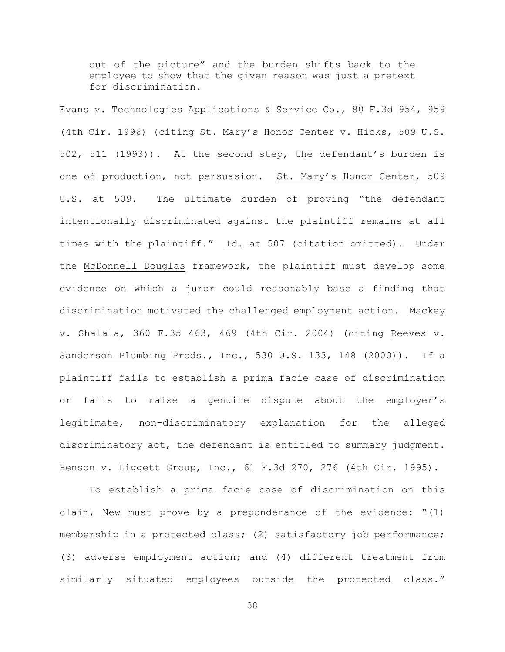out of the picture" and the burden shifts back to the employee to show that the given reason was just a pretext for discrimination.

Evans v. Technologies Applications & Service Co., 80 F.3d 954, 959 (4th Cir. 1996) (citing St. Mary's Honor Center v. Hicks, 509 U.S. 502, 511 (1993)). At the second step, the defendant's burden is one of production, not persuasion. St. Mary's Honor Center, 509 U.S. at 509. The ultimate burden of proving "the defendant intentionally discriminated against the plaintiff remains at all times with the plaintiff." Id. at 507 (citation omitted). Under the McDonnell Douglas framework, the plaintiff must develop some evidence on which a juror could reasonably base a finding that discrimination motivated the challenged employment action. Mackey v. Shalala, 360 F.3d 463, 469 (4th Cir. 2004) (citing Reeves v. Sanderson Plumbing Prods., Inc., 530 U.S. 133, 148 (2000)). If a plaintiff fails to establish a prima facie case of discrimination or fails to raise a genuine dispute about the employer's legitimate, non-discriminatory explanation for the alleged discriminatory act, the defendant is entitled to summary judgment. Henson v. Liggett Group, Inc., 61 F.3d 270, 276 (4th Cir. 1995).

To establish a prima facie case of discrimination on this claim, New must prove by a preponderance of the evidence: "(1) membership in a protected class; (2) satisfactory job performance; (3) adverse employment action; and (4) different treatment from similarly situated employees outside the protected class."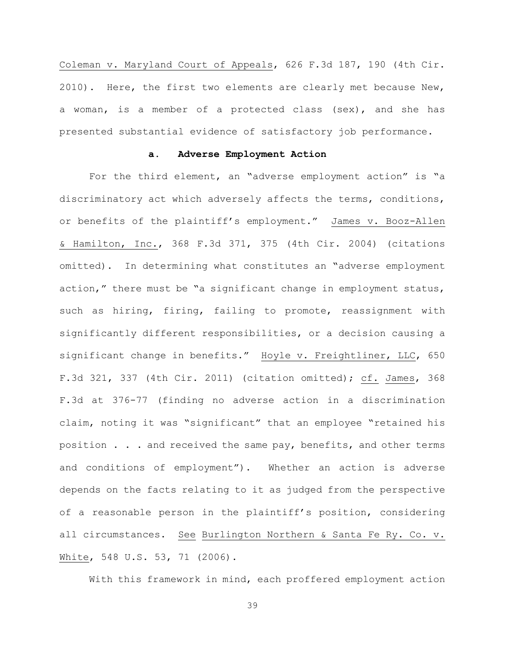Coleman v. Maryland Court of Appeals, 626 F.3d 187, 190 (4th Cir. 2010). Here, the first two elements are clearly met because New, a woman, is a member of a protected class (sex), and she has presented substantial evidence of satisfactory job performance.

### **a. Adverse Employment Action**

For the third element, an "adverse employment action" is "a discriminatory act which adversely affects the terms, conditions, or benefits of the plaintiff's employment." James v. Booz-Allen & Hamilton, Inc., 368 F.3d 371, 375 (4th Cir. 2004) (citations omitted). In determining what constitutes an "adverse employment action," there must be "a significant change in employment status, such as hiring, firing, failing to promote, reassignment with significantly different responsibilities, or a decision causing a significant change in benefits." Hoyle v. Freightliner, LLC, 650 F.3d 321, 337 (4th Cir. 2011) (citation omitted); cf. James, 368 F.3d at 376-77 (finding no adverse action in a discrimination claim, noting it was "significant" that an employee "retained his position . . . and received the same pay, benefits, and other terms and conditions of employment"). Whether an action is adverse depends on the facts relating to it as judged from the perspective of a reasonable person in the plaintiff's position, considering all circumstances. See Burlington Northern & Santa Fe Ry. Co. v. White, 548 U.S. 53, 71 (2006).

With this framework in mind, each proffered employment action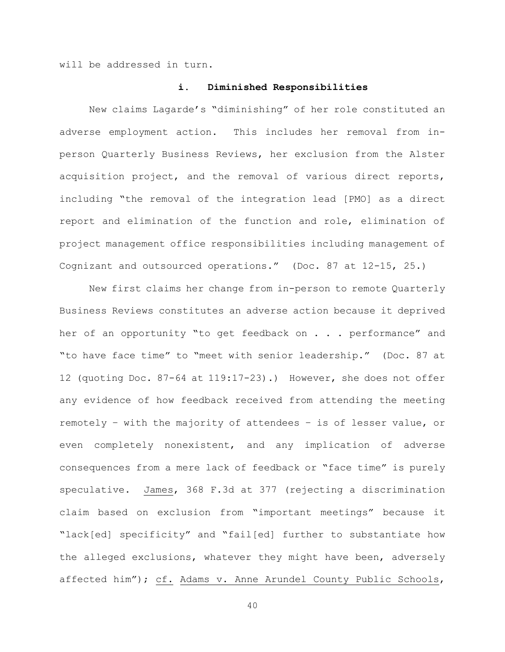will be addressed in turn.

### **i. Diminished Responsibilities**

New claims Lagarde's "diminishing" of her role constituted an adverse employment action. This includes her removal from inperson Quarterly Business Reviews, her exclusion from the Alster acquisition project, and the removal of various direct reports, including "the removal of the integration lead [PMO] as a direct report and elimination of the function and role, elimination of project management office responsibilities including management of Cognizant and outsourced operations." (Doc. 87 at 12-15, 25.)

New first claims her change from in-person to remote Quarterly Business Reviews constitutes an adverse action because it deprived her of an opportunity "to get feedback on . . . performance" and "to have face time" to "meet with senior leadership." (Doc. 87 at 12 (quoting Doc. 87-64 at 119:17-23).) However, she does not offer any evidence of how feedback received from attending the meeting remotely – with the majority of attendees – is of lesser value, or even completely nonexistent, and any implication of adverse consequences from a mere lack of feedback or "face time" is purely speculative. James, 368 F.3d at 377 (rejecting a discrimination claim based on exclusion from "important meetings" because it "lack[ed] specificity" and "fail[ed] further to substantiate how the alleged exclusions, whatever they might have been, adversely affected him"); cf. Adams v. Anne Arundel County Public Schools,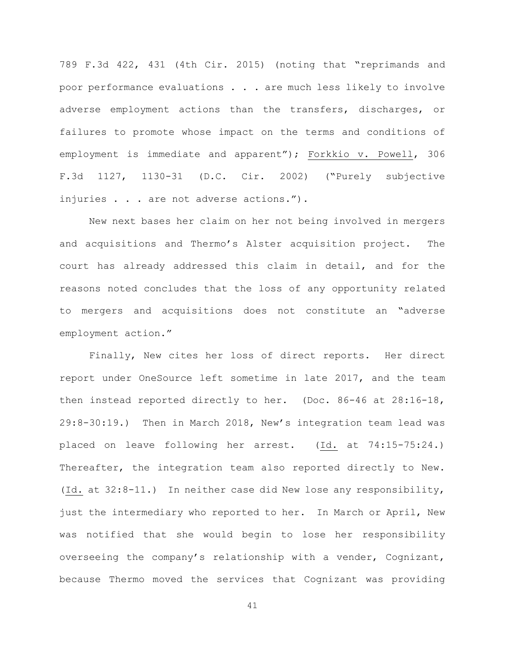789 F.3d 422, 431 (4th Cir. 2015) (noting that "reprimands and poor performance evaluations . . . are much less likely to involve adverse employment actions than the transfers, discharges, or failures to promote whose impact on the terms and conditions of employment is immediate and apparent"); Forkkio v. Powell, 306 F.3d 1127, 1130-31 (D.C. Cir. 2002) ("Purely subjective injuries . . . are not adverse actions.").

New next bases her claim on her not being involved in mergers and acquisitions and Thermo's Alster acquisition project. The court has already addressed this claim in detail, and for the reasons noted concludes that the loss of any opportunity related to mergers and acquisitions does not constitute an "adverse employment action."

Finally, New cites her loss of direct reports. Her direct report under OneSource left sometime in late 2017, and the team then instead reported directly to her. (Doc. 86-46 at 28:16-18, 29:8-30:19.) Then in March 2018, New's integration team lead was placed on leave following her arrest. (Id. at 74:15-75:24.) Thereafter, the integration team also reported directly to New. (Id. at 32:8-11.) In neither case did New lose any responsibility, just the intermediary who reported to her. In March or April, New was notified that she would begin to lose her responsibility overseeing the company's relationship with a vender, Cognizant, because Thermo moved the services that Cognizant was providing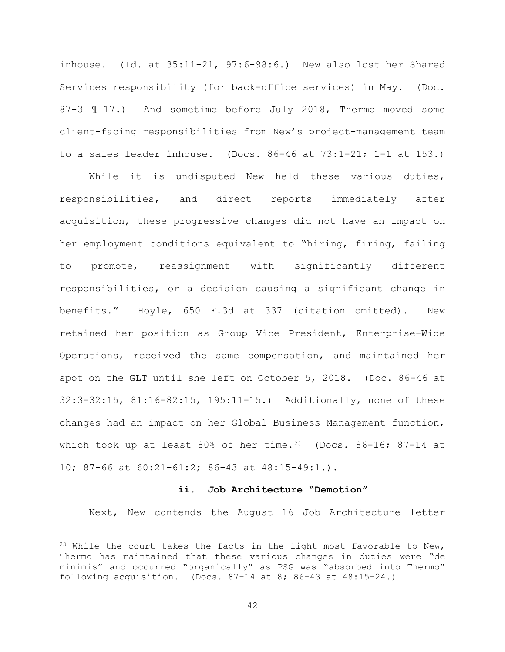inhouse. (Id. at 35:11-21, 97:6-98:6.) New also lost her Shared Services responsibility (for back-office services) in May. (Doc. 87-3 ¶ 17.) And sometime before July 2018, Thermo moved some client-facing responsibilities from New's project-management team to a sales leader inhouse. (Docs.  $86-46$  at  $73:1-21$ ;  $1-1$  at  $153$ .)

While it is undisputed New held these various duties, responsibilities, and direct reports immediately after acquisition, these progressive changes did not have an impact on her employment conditions equivalent to "hiring, firing, failing to promote, reassignment with significantly different responsibilities, or a decision causing a significant change in benefits." Hoyle, 650 F.3d at 337 (citation omitted). New retained her position as Group Vice President, Enterprise-Wide Operations, received the same compensation, and maintained her spot on the GLT until she left on October 5, 2018. (Doc. 86-46 at 32:3-32:15, 81:16-82:15, 195:11-15.) Additionally, none of these changes had an impact on her Global Business Management function, which took up at least 80% of her time.<sup>23</sup> (Docs. 86-16; 87-14 at 10; 87-66 at 60:21-61:2; 86-43 at 48:15-49:1.).

# **ii. Job Architecture "Demotion"**

Next, New contends the August 16 Job Architecture letter

<sup>&</sup>lt;sup>23</sup> While the court takes the facts in the light most favorable to New, Thermo has maintained that these various changes in duties were "de minimis" and occurred "organically" as PSG was "absorbed into Thermo" following acquisition. (Docs.  $87-14$  at  $8; 86-43$  at  $48:15-24.$ )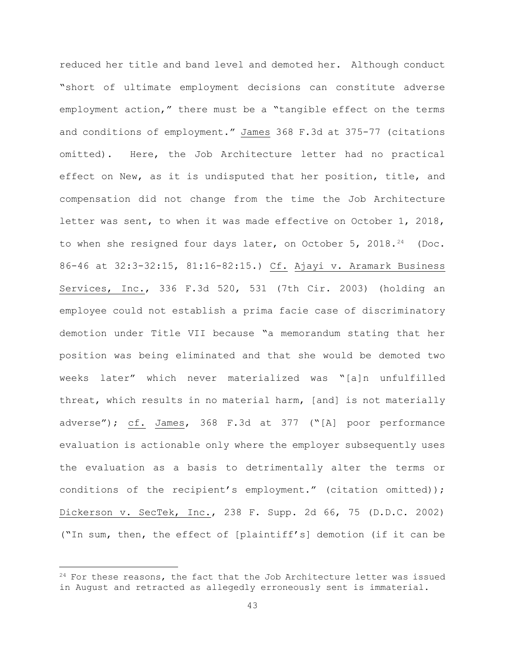reduced her title and band level and demoted her. Although conduct "short of ultimate employment decisions can constitute adverse employment action," there must be a "tangible effect on the terms and conditions of employment." James 368 F.3d at 375-77 (citations omitted). Here, the Job Architecture letter had no practical effect on New, as it is undisputed that her position, title, and compensation did not change from the time the Job Architecture letter was sent, to when it was made effective on October 1, 2018, to when she resigned four days later, on October 5, 2018.<sup>24</sup> (Doc. 86-46 at 32:3-32:15, 81:16-82:15.) Cf. Ajayi v. Aramark Business Services, Inc., 336 F.3d 520, 531 (7th Cir. 2003) (holding an employee could not establish a prima facie case of discriminatory demotion under Title VII because "a memorandum stating that her position was being eliminated and that she would be demoted two weeks later" which never materialized was "[a]n unfulfilled threat, which results in no material harm, [and] is not materially adverse"); cf. James, 368 F.3d at 377 ("[A] poor performance evaluation is actionable only where the employer subsequently uses the evaluation as a basis to detrimentally alter the terms or conditions of the recipient's employment." (citation omitted)); Dickerson v. SecTek, Inc., 238 F. Supp. 2d 66, 75 (D.D.C. 2002) ("In sum, then, the effect of [plaintiff's] demotion (if it can be

 $24$  For these reasons, the fact that the Job Architecture letter was issued in August and retracted as allegedly erroneously sent is immaterial.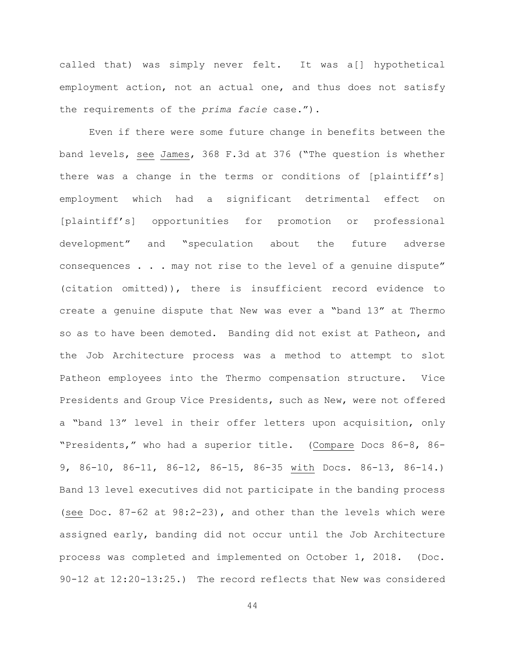called that) was simply never felt. It was a[] hypothetical employment action, not an actual one, and thus does not satisfy the requirements of the *prima facie* case.").

Even if there were some future change in benefits between the band levels, see James, 368 F.3d at 376 ("The question is whether there was a change in the terms or conditions of [plaintiff's] employment which had a significant detrimental effect on [plaintiff's] opportunities for promotion or professional development" and "speculation about the future adverse consequences . . . may not rise to the level of a genuine dispute" (citation omitted)), there is insufficient record evidence to create a genuine dispute that New was ever a "band 13" at Thermo so as to have been demoted. Banding did not exist at Patheon, and the Job Architecture process was a method to attempt to slot Patheon employees into the Thermo compensation structure. Vice Presidents and Group Vice Presidents, such as New, were not offered a "band 13" level in their offer letters upon acquisition, only "Presidents," who had a superior title. (Compare Docs 86-8, 86- 9, 86-10, 86-11, 86-12, 86-15, 86-35 with Docs. 86-13, 86-14.) Band 13 level executives did not participate in the banding process (see Doc. 87-62 at 98:2-23), and other than the levels which were assigned early, banding did not occur until the Job Architecture process was completed and implemented on October 1, 2018. (Doc. 90-12 at 12:20-13:25.) The record reflects that New was considered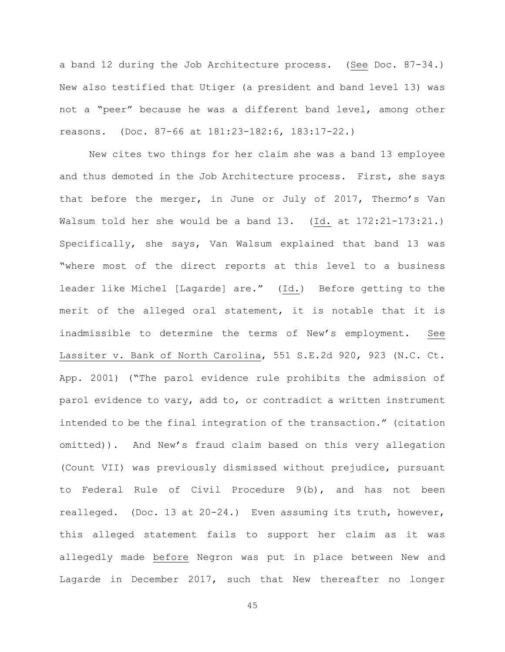a band 12 during the Job Architecture process. (See Doc. 87-34.) New also testified that Utiger (a president and band level 13) was not a "peer" because he was a different band level, among other reasons. (Doc. 87-66 at 181:23-182:6, 183:17-22.)

New cites two things for her claim she was a band 13 employee and thus demoted in the Job Architecture process. First, she says that before the merger, in June or July of 2017, Thermo's Van Walsum told her she would be a band 13. (Id. at 172:21-173:21.) Specifically, she says, Van Walsum explained that band 13 was "where most of the direct reports at this level to a business leader like Michel [Lagarde] are." (Id.) Before getting to the merit of the alleged oral statement, it is notable that it is inadmissible to determine the terms of New's employment. See Lassiter v. Bank of North Carolina, 551 S.E.2d 920, 923 (N.C. Ct. App. 2001) ("The parol evidence rule prohibits the admission of parol evidence to vary, add to, or contradict a written instrument intended to be the final integration of the transaction." (citation omitted)). And New's fraud claim based on this very allegation (Count VII) was previously dismissed without prejudice, pursuant to Federal Rule of Civil Procedure 9(b), and has not been realleged. (Doc. 13 at 20-24.) Even assuming its truth, however, this alleged statement fails to support her claim as it was allegedly made before Negron was put in place between New and Lagarde in December 2017, such that New thereafter no longer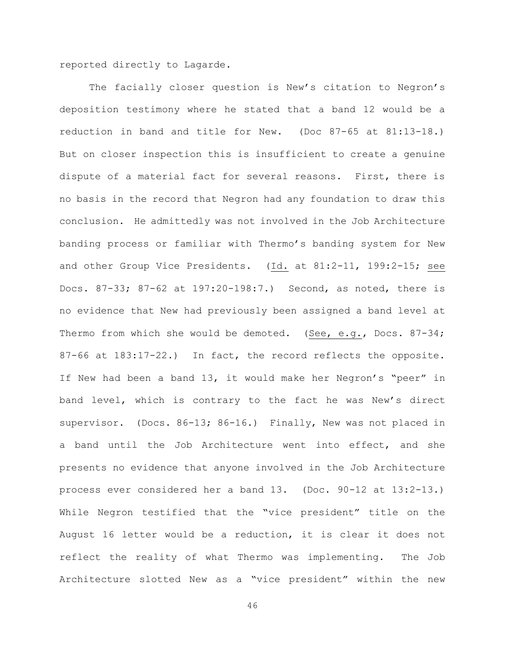reported directly to Lagarde.

The facially closer question is New's citation to Negron's deposition testimony where he stated that a band 12 would be a reduction in band and title for New. (Doc 87-65 at 81:13-18.) But on closer inspection this is insufficient to create a genuine dispute of a material fact for several reasons. First, there is no basis in the record that Negron had any foundation to draw this conclusion. He admittedly was not involved in the Job Architecture banding process or familiar with Thermo's banding system for New and other Group Vice Presidents. (Id. at 81:2-11, 199:2-15; see Docs. 87-33; 87-62 at 197:20-198:7.) Second, as noted, there is no evidence that New had previously been assigned a band level at Thermo from which she would be demoted. (See, e.g., Docs. 87-34; 87-66 at 183:17-22.) In fact, the record reflects the opposite. If New had been a band 13, it would make her Negron's "peer" in band level, which is contrary to the fact he was New's direct supervisor. (Docs. 86-13; 86-16.) Finally, New was not placed in a band until the Job Architecture went into effect, and she presents no evidence that anyone involved in the Job Architecture process ever considered her a band 13. (Doc. 90-12 at 13:2-13.) While Negron testified that the "vice president" title on the August 16 letter would be a reduction, it is clear it does not reflect the reality of what Thermo was implementing. The Job Architecture slotted New as a "vice president" within the new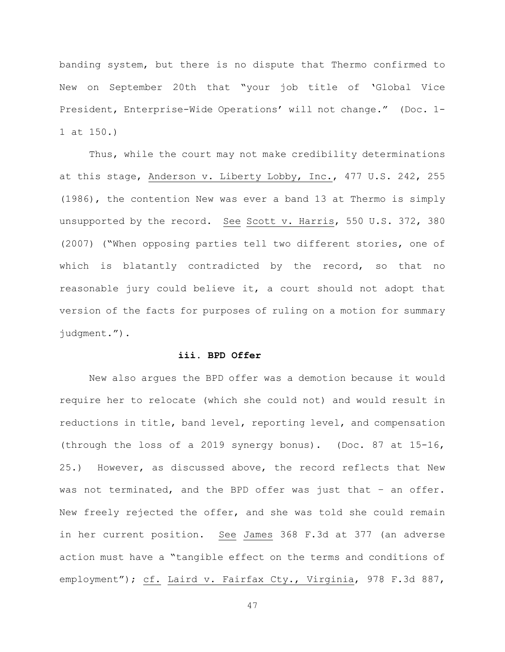banding system, but there is no dispute that Thermo confirmed to New on September 20th that "your job title of 'Global Vice President, Enterprise-Wide Operations' will not change." (Doc. 1- 1 at 150.)

Thus, while the court may not make credibility determinations at this stage, Anderson v. Liberty Lobby, Inc., 477 U.S. 242, 255 (1986), the contention New was ever a band 13 at Thermo is simply unsupported by the record. See Scott v. Harris, 550 U.S. 372, 380 (2007) ("When opposing parties tell two different stories, one of which is blatantly contradicted by the record, so that no reasonable jury could believe it, a court should not adopt that version of the facts for purposes of ruling on a motion for summary judgment.").

### **iii. BPD Offer**

New also argues the BPD offer was a demotion because it would require her to relocate (which she could not) and would result in reductions in title, band level, reporting level, and compensation (through the loss of a 2019 synergy bonus). (Doc. 87 at 15-16, 25.) However, as discussed above, the record reflects that New was not terminated, and the BPD offer was just that – an offer. New freely rejected the offer, and she was told she could remain in her current position. See James 368 F.3d at 377 (an adverse action must have a "tangible effect on the terms and conditions of employment"); cf. Laird v. Fairfax Cty., Virginia, 978 F.3d 887,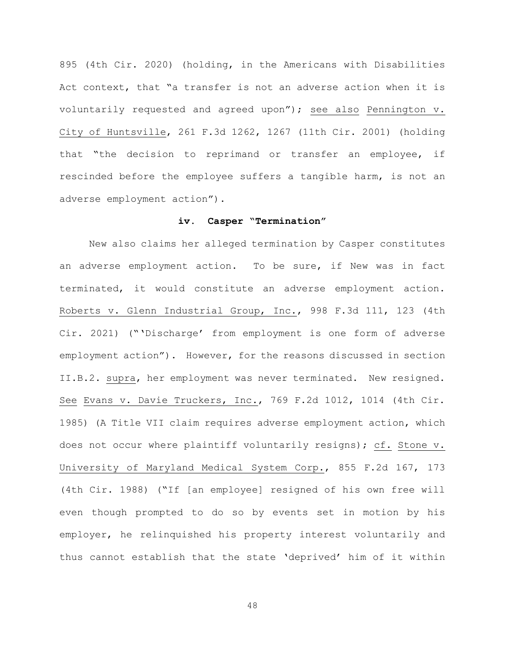895 (4th Cir. 2020) (holding, in the Americans with Disabilities Act context, that "a transfer is not an adverse action when it is voluntarily requested and agreed upon"); see also Pennington v. City of Huntsville, 261 F.3d 1262, 1267 (11th Cir. 2001) (holding that "the decision to reprimand or transfer an employee, if rescinded before the employee suffers a tangible harm, is not an adverse employment action").

#### **iv. Casper "Termination"**

New also claims her alleged termination by Casper constitutes an adverse employment action. To be sure, if New was in fact terminated, it would constitute an adverse employment action. Roberts v. Glenn Industrial Group, Inc., 998 F.3d 111, 123 (4th Cir. 2021) ("'Discharge' from employment is one form of adverse employment action"). However, for the reasons discussed in section II.B.2. supra, her employment was never terminated. New resigned. See Evans v. Davie Truckers, Inc., 769 F.2d 1012, 1014 (4th Cir. 1985) (A Title VII claim requires adverse employment action, which does not occur where plaintiff voluntarily resigns); cf. Stone v. University of Maryland Medical System Corp., 855 F.2d 167, 173 (4th Cir. 1988) ("If [an employee] resigned of his own free will even though prompted to do so by events set in motion by his employer, he relinquished his property interest voluntarily and thus cannot establish that the state 'deprived' him of it within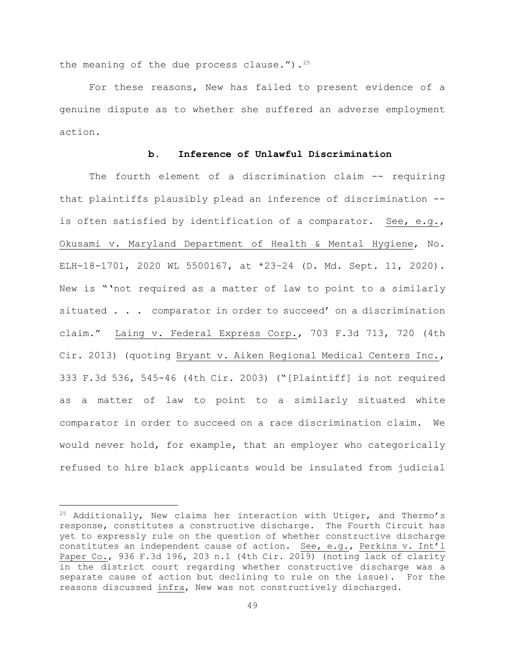the meaning of the due process clause."). $25$ 

For these reasons, New has failed to present evidence of a genuine dispute as to whether she suffered an adverse employment action.

# **b. Inference of Unlawful Discrimination**

The fourth element of a discrimination claim -- requiring that plaintiffs plausibly plead an inference of discrimination - is often satisfied by identification of a comparator. See, e.g., Okusami v. Maryland Department of Health & Mental Hygiene, No. ELH-18-1701, 2020 WL 5500167, at \*23–24 (D. Md. Sept. 11, 2020). New is "'not required as a matter of law to point to a similarly situated . . . comparator in order to succeed' on a discrimination claim." Laing v. Federal Express Corp., 703 F.3d 713, 720 (4th Cir. 2013) (quoting Bryant v. Aiken Regional Medical Centers Inc., 333 F.3d 536, 545-46 (4th Cir. 2003) ("[Plaintiff] is not required as a matter of law to point to a similarly situated white comparator in order to succeed on a race discrimination claim. We would never hold, for example, that an employer who categorically refused to hire black applicants would be insulated from judicial

 $25$  Additionally, New claims her interaction with Utiger, and Thermo's response, constitutes a constructive discharge. The Fourth Circuit has yet to expressly rule on the question of whether constructive discharge constitutes an independent cause of action. See, e.g., Perkins v. Int'l Paper Co., 936 F.3d 196, 203 n.1 (4th Cir. 2019) (noting lack of clarity in the district court regarding whether constructive discharge was a separate cause of action but declining to rule on the issue). For the reasons discussed infra, New was not constructively discharged.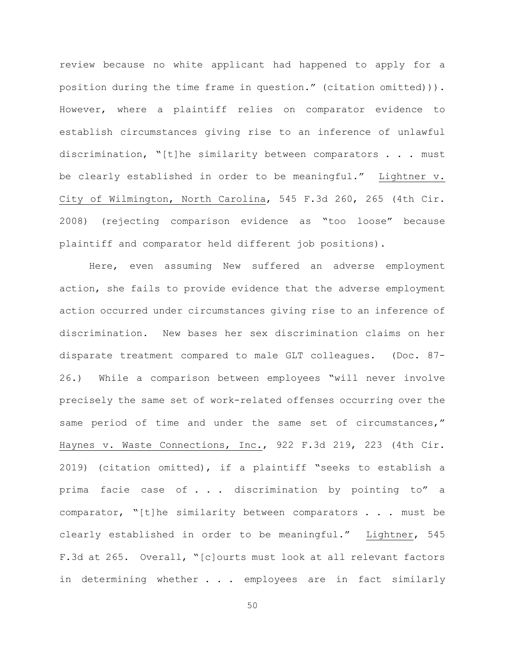review because no white applicant had happened to apply for a position during the time frame in question." (citation omitted))). However, where a plaintiff relies on comparator evidence to establish circumstances giving rise to an inference of unlawful discrimination, "[t]he similarity between comparators . . . must be clearly established in order to be meaningful." Lightner v. City of Wilmington, North Carolina, 545 F.3d 260, 265 (4th Cir. 2008) (rejecting comparison evidence as "too loose" because plaintiff and comparator held different job positions).

Here, even assuming New suffered an adverse employment action, she fails to provide evidence that the adverse employment action occurred under circumstances giving rise to an inference of discrimination. New bases her sex discrimination claims on her disparate treatment compared to male GLT colleagues. (Doc. 87- 26.) While a comparison between employees "will never involve precisely the same set of work-related offenses occurring over the same period of time and under the same set of circumstances," Haynes v. Waste Connections, Inc., 922 F.3d 219, 223 (4th Cir. 2019) (citation omitted), if a plaintiff "seeks to establish a prima facie case of . . . discrimination by pointing to" a comparator, "[t]he similarity between comparators . . . must be clearly established in order to be meaningful." Lightner, 545 F.3d at 265. Overall, "[c]ourts must look at all relevant factors in determining whether . . . employees are in fact similarly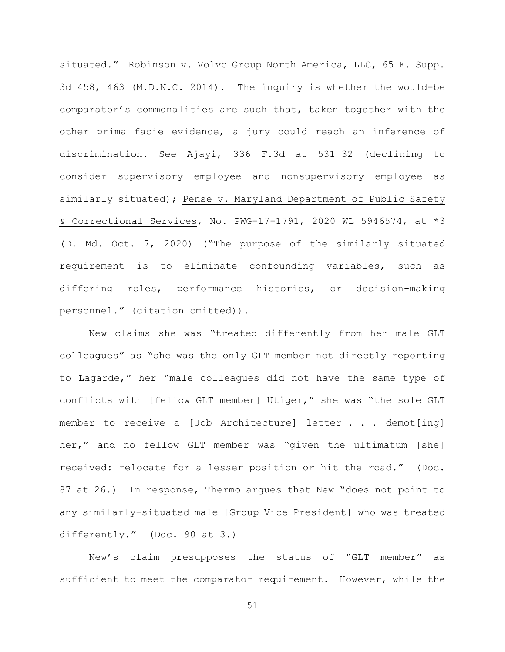situated." Robinson v. Volvo Group North America, LLC, 65 F. Supp. 3d 458, 463 (M.D.N.C. 2014). The inquiry is whether the would-be comparator's commonalities are such that, taken together with the other prima facie evidence, a jury could reach an inference of discrimination. See Ajayi, 336 F.3d at 531–32 (declining to consider supervisory employee and nonsupervisory employee as similarly situated); Pense v. Maryland Department of Public Safety & Correctional Services, No. PWG-17-1791, 2020 WL 5946574, at \*3 (D. Md. Oct. 7, 2020) ("The purpose of the similarly situated requirement is to eliminate confounding variables, such as differing roles, performance histories, or decision-making personnel." (citation omitted)).

New claims she was "treated differently from her male GLT colleagues" as "she was the only GLT member not directly reporting to Lagarde," her "male colleagues did not have the same type of conflicts with [fellow GLT member] Utiger," she was "the sole GLT member to receive a [Job Architecture] letter . . . demot[ing] her," and no fellow GLT member was "given the ultimatum [she] received: relocate for a lesser position or hit the road." (Doc. 87 at 26.) In response, Thermo argues that New "does not point to any similarly-situated male [Group Vice President] who was treated differently." (Doc. 90 at 3.)

New's claim presupposes the status of "GLT member" as sufficient to meet the comparator requirement. However, while the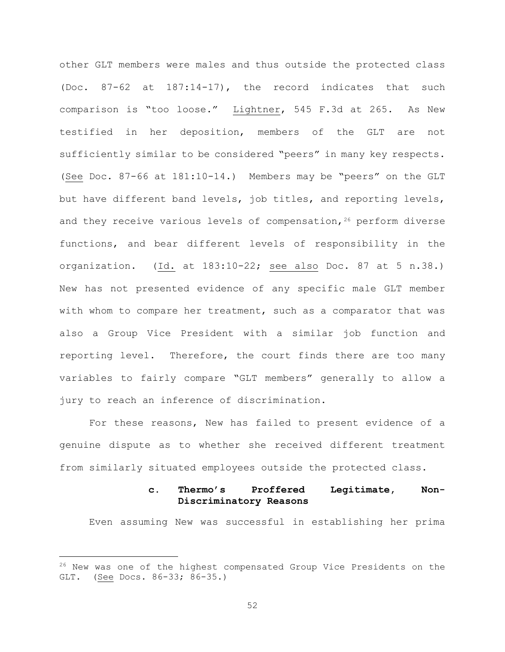other GLT members were males and thus outside the protected class (Doc. 87-62 at 187:14-17), the record indicates that such comparison is "too loose." Lightner, 545 F.3d at 265. As New testified in her deposition, members of the GLT are not sufficiently similar to be considered "peers" in many key respects. (See Doc. 87-66 at 181:10-14.) Members may be "peers" on the GLT but have different band levels, job titles, and reporting levels, and they receive various levels of compensation,  $26$  perform diverse functions, and bear different levels of responsibility in the organization. (Id. at 183:10-22; see also Doc. 87 at 5 n.38.) New has not presented evidence of any specific male GLT member with whom to compare her treatment, such as a comparator that was also a Group Vice President with a similar job function and reporting level. Therefore, the court finds there are too many variables to fairly compare "GLT members" generally to allow a jury to reach an inference of discrimination.

For these reasons, New has failed to present evidence of a genuine dispute as to whether she received different treatment from similarly situated employees outside the protected class.

# **c. Thermo's Proffered Legitimate, Non-Discriminatory Reasons**

Even assuming New was successful in establishing her prima

<sup>&</sup>lt;sup>26</sup> New was one of the highest compensated Group Vice Presidents on the GLT. (See Docs. 86-33; 86-35.)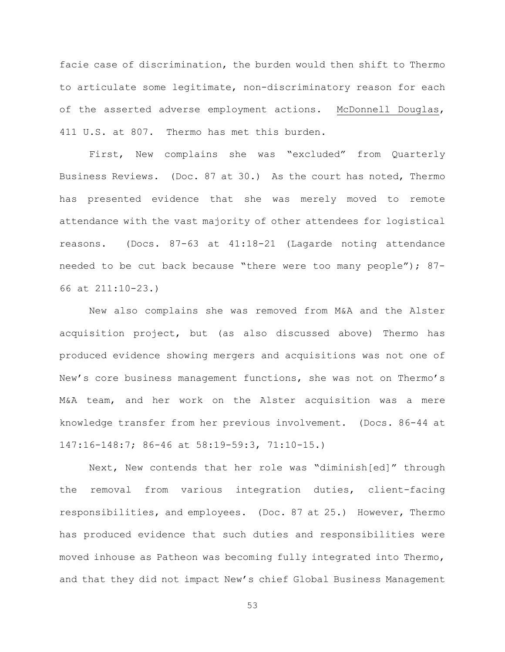facie case of discrimination, the burden would then shift to Thermo to articulate some legitimate, non-discriminatory reason for each of the asserted adverse employment actions. McDonnell Douglas, 411 U.S. at 807. Thermo has met this burden.

First, New complains she was "excluded" from Quarterly Business Reviews. (Doc. 87 at 30.) As the court has noted, Thermo has presented evidence that she was merely moved to remote attendance with the vast majority of other attendees for logistical reasons. (Docs. 87-63 at 41:18-21 (Lagarde noting attendance needed to be cut back because "there were too many people"); 87- 66 at 211:10-23.)

New also complains she was removed from M&A and the Alster acquisition project, but (as also discussed above) Thermo has produced evidence showing mergers and acquisitions was not one of New's core business management functions, she was not on Thermo's M&A team, and her work on the Alster acquisition was a mere knowledge transfer from her previous involvement. (Docs. 86-44 at 147:16-148:7; 86-46 at 58:19-59:3, 71:10-15.)

Next, New contends that her role was "diminish[ed]" through the removal from various integration duties, client-facing responsibilities, and employees. (Doc. 87 at 25.) However, Thermo has produced evidence that such duties and responsibilities were moved inhouse as Patheon was becoming fully integrated into Thermo, and that they did not impact New's chief Global Business Management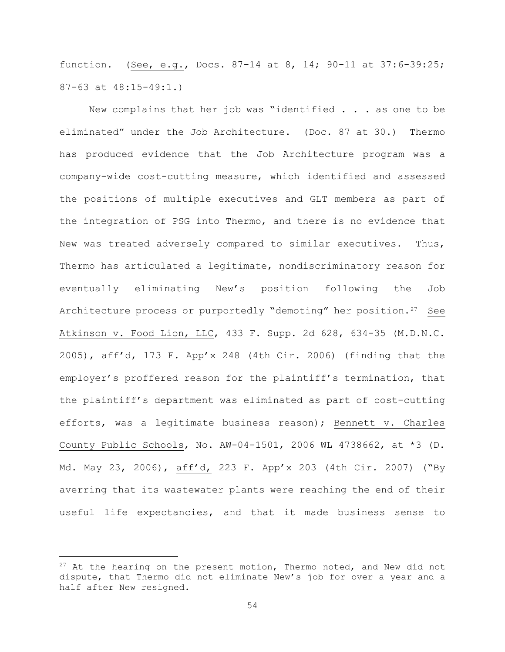function. (See, e.g., Docs. 87-14 at 8, 14; 90-11 at 37:6-39:25; 87-63 at 48:15-49:1.)

New complains that her job was "identified . . . as one to be eliminated" under the Job Architecture. (Doc. 87 at 30.) Thermo has produced evidence that the Job Architecture program was a company-wide cost-cutting measure, which identified and assessed the positions of multiple executives and GLT members as part of the integration of PSG into Thermo, and there is no evidence that New was treated adversely compared to similar executives. Thus, Thermo has articulated a legitimate, nondiscriminatory reason for eventually eliminating New's position following the Job Architecture process or purportedly "demoting" her position.<sup>27</sup> See Atkinson v. Food Lion, LLC, 433 F. Supp. 2d 628, 634-35 (M.D.N.C. 2005), aff'd, 173 F. App'x 248 (4th Cir. 2006) (finding that the employer's proffered reason for the plaintiff's termination, that the plaintiff's department was eliminated as part of cost-cutting efforts, was a legitimate business reason); Bennett v. Charles County Public Schools, No. AW-04-1501, 2006 WL 4738662, at \*3 (D. Md. May 23, 2006), aff'd, 223 F. App'x 203 (4th Cir. 2007) ("By averring that its wastewater plants were reaching the end of their useful life expectancies, and that it made business sense to

 $27$  At the hearing on the present motion, Thermo noted, and New did not dispute, that Thermo did not eliminate New's job for over a year and a half after New resigned.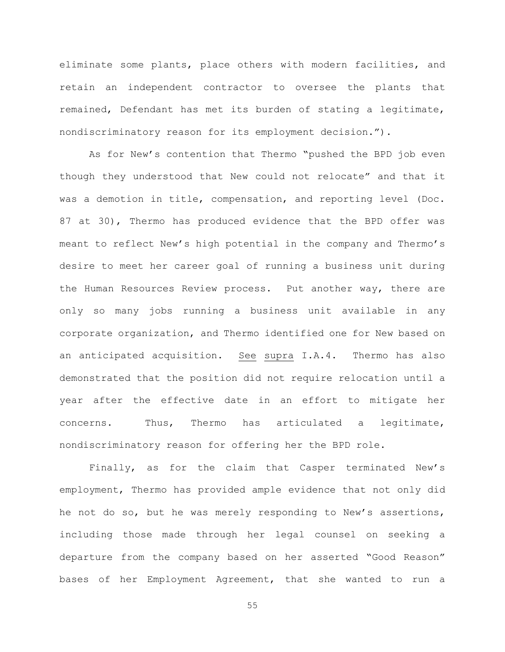eliminate some plants, place others with modern facilities, and retain an independent contractor to oversee the plants that remained, Defendant has met its burden of stating a legitimate, nondiscriminatory reason for its employment decision.").

As for New's contention that Thermo "pushed the BPD job even though they understood that New could not relocate" and that it was a demotion in title, compensation, and reporting level (Doc. 87 at 30), Thermo has produced evidence that the BPD offer was meant to reflect New's high potential in the company and Thermo's desire to meet her career goal of running a business unit during the Human Resources Review process. Put another way, there are only so many jobs running a business unit available in any corporate organization, and Thermo identified one for New based on an anticipated acquisition. See supra I.A.4. Thermo has also demonstrated that the position did not require relocation until a year after the effective date in an effort to mitigate her concerns. Thus, Thermo has articulated a legitimate, nondiscriminatory reason for offering her the BPD role.

Finally, as for the claim that Casper terminated New's employment, Thermo has provided ample evidence that not only did he not do so, but he was merely responding to New's assertions, including those made through her legal counsel on seeking a departure from the company based on her asserted "Good Reason" bases of her Employment Agreement, that she wanted to run a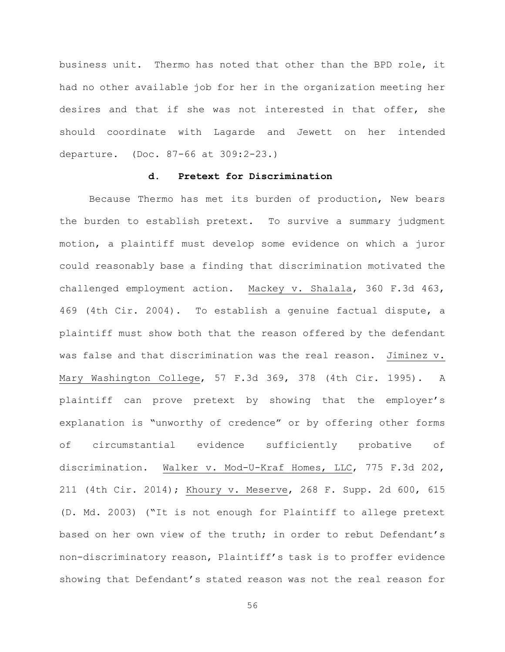business unit. Thermo has noted that other than the BPD role, it had no other available job for her in the organization meeting her desires and that if she was not interested in that offer, she should coordinate with Lagarde and Jewett on her intended departure. (Doc. 87-66 at 309:2-23.)

# **d. Pretext for Discrimination**

Because Thermo has met its burden of production, New bears the burden to establish pretext. To survive a summary judgment motion, a plaintiff must develop some evidence on which a juror could reasonably base a finding that discrimination motivated the challenged employment action. Mackey v. Shalala, 360 F.3d 463, 469 (4th Cir. 2004). To establish a genuine factual dispute, a plaintiff must show both that the reason offered by the defendant was false and that discrimination was the real reason. Jiminez v. Mary Washington College, 57 F.3d 369, 378 (4th Cir. 1995). A plaintiff can prove pretext by showing that the employer's explanation is "unworthy of credence" or by offering other forms of circumstantial evidence sufficiently probative of discrimination. Walker v. Mod-U-Kraf Homes, LLC, 775 F.3d 202, 211 (4th Cir. 2014); Khoury v. Meserve, 268 F. Supp. 2d 600, 615 (D. Md. 2003) ("It is not enough for Plaintiff to allege pretext based on her own view of the truth; in order to rebut Defendant's non-discriminatory reason, Plaintiff's task is to proffer evidence showing that Defendant's stated reason was not the real reason for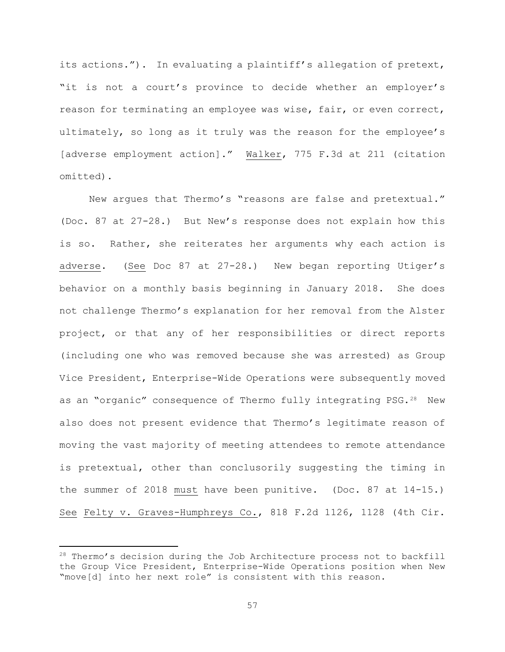its actions."). In evaluating a plaintiff's allegation of pretext, "it is not a court's province to decide whether an employer's reason for terminating an employee was wise, fair, or even correct, ultimately, so long as it truly was the reason for the employee's [adverse employment action]." Walker, 775 F.3d at 211 (citation omitted).

New argues that Thermo's "reasons are false and pretextual." (Doc. 87 at 27-28.) But New's response does not explain how this is so. Rather, she reiterates her arguments why each action is adverse. (See Doc 87 at 27-28.) New began reporting Utiger's behavior on a monthly basis beginning in January 2018. She does not challenge Thermo's explanation for her removal from the Alster project, or that any of her responsibilities or direct reports (including one who was removed because she was arrested) as Group Vice President, Enterprise-Wide Operations were subsequently moved as an "organic" consequence of Thermo fully integrating PSG.<sup>28</sup> New also does not present evidence that Thermo's legitimate reason of moving the vast majority of meeting attendees to remote attendance is pretextual, other than conclusorily suggesting the timing in the summer of 2018 must have been punitive. (Doc. 87 at 14-15.) See Felty v. Graves-Humphreys Co., 818 F.2d 1126, 1128 (4th Cir.

<sup>&</sup>lt;sup>28</sup> Thermo's decision during the Job Architecture process not to backfill the Group Vice President, Enterprise-Wide Operations position when New "move[d] into her next role" is consistent with this reason.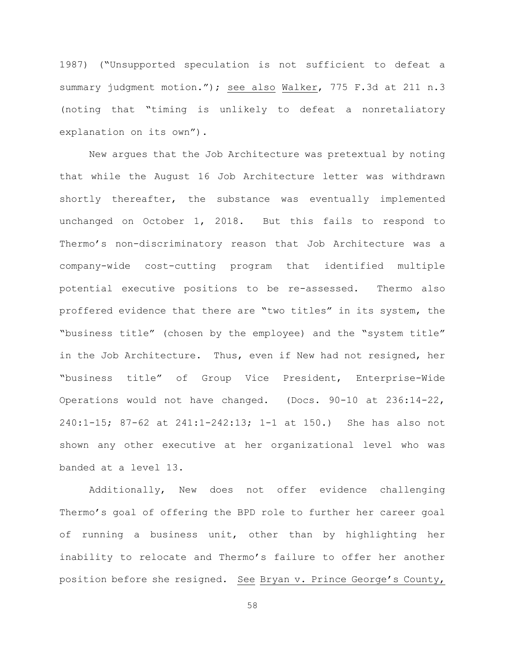1987) ("Unsupported speculation is not sufficient to defeat a summary judgment motion."); see also Walker, 775 F.3d at 211 n.3 (noting that "timing is unlikely to defeat a nonretaliatory explanation on its own").

New argues that the Job Architecture was pretextual by noting that while the August 16 Job Architecture letter was withdrawn shortly thereafter, the substance was eventually implemented unchanged on October 1, 2018. But this fails to respond to Thermo's non-discriminatory reason that Job Architecture was a company-wide cost-cutting program that identified multiple potential executive positions to be re-assessed. Thermo also proffered evidence that there are "two titles" in its system, the "business title" (chosen by the employee) and the "system title" in the Job Architecture. Thus, even if New had not resigned, her "business title" of Group Vice President, Enterprise-Wide Operations would not have changed. (Docs. 90-10 at 236:14-22, 240:1-15; 87-62 at 241:1-242:13; 1-1 at 150.) She has also not shown any other executive at her organizational level who was banded at a level 13.

Additionally, New does not offer evidence challenging Thermo's goal of offering the BPD role to further her career goal of running a business unit, other than by highlighting her inability to relocate and Thermo's failure to offer her another position before she resigned. See Bryan v. Prince George's County,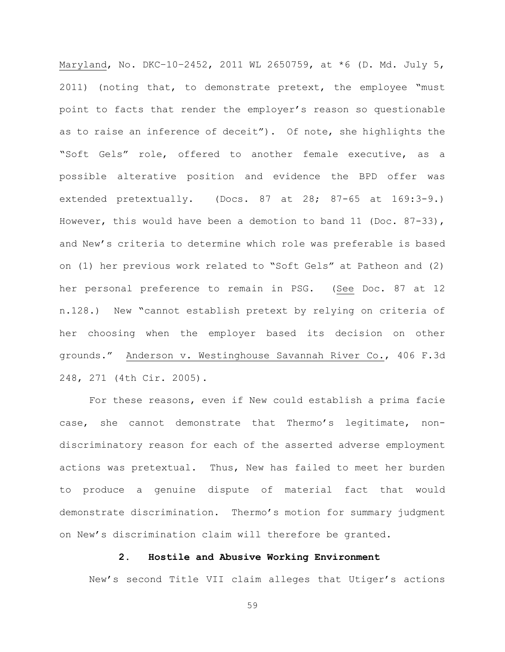Maryland, No. DKC-10-2452, 2011 WL 2650759, at \*6 (D. Md. July 5, 2011) (noting that, to demonstrate pretext, the employee "must point to facts that render the employer's reason so questionable as to raise an inference of deceit"). Of note, she highlights the "Soft Gels" role, offered to another female executive, as a possible alterative position and evidence the BPD offer was extended pretextually. (Docs. 87 at 28; 87-65 at 169:3-9.) However, this would have been a demotion to band 11 (Doc. 87-33), and New's criteria to determine which role was preferable is based on (1) her previous work related to "Soft Gels" at Patheon and (2) her personal preference to remain in PSG. (See Doc. 87 at 12 n.128.) New "cannot establish pretext by relying on criteria of her choosing when the employer based its decision on other grounds." Anderson v. Westinghouse Savannah River Co., 406 F.3d 248, 271 (4th Cir. 2005).

For these reasons, even if New could establish a prima facie case, she cannot demonstrate that Thermo's legitimate, nondiscriminatory reason for each of the asserted adverse employment actions was pretextual. Thus, New has failed to meet her burden to produce a genuine dispute of material fact that would demonstrate discrimination. Thermo's motion for summary judgment on New's discrimination claim will therefore be granted.

## **2. Hostile and Abusive Working Environment**

New's second Title VII claim alleges that Utiger's actions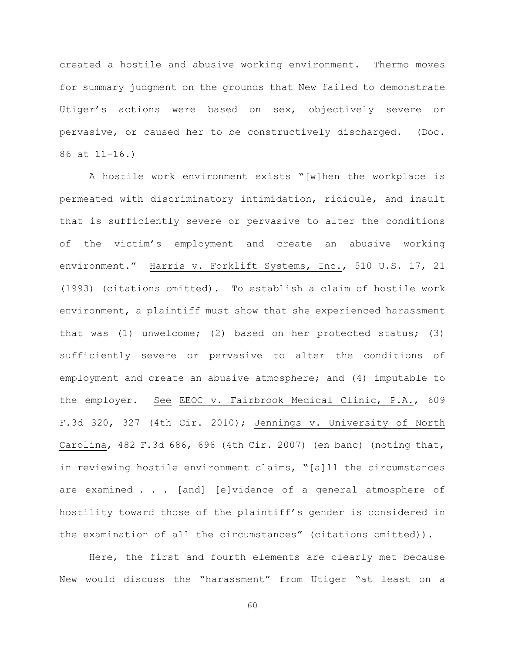created a hostile and abusive working environment. Thermo moves for summary judgment on the grounds that New failed to demonstrate Utiger's actions were based on sex, objectively severe or pervasive, or caused her to be constructively discharged. (Doc. 86 at 11-16.)

A hostile work environment exists "[w]hen the workplace is permeated with discriminatory intimidation, ridicule, and insult that is sufficiently severe or pervasive to alter the conditions of the victim's employment and create an abusive working environment." Harris v. Forklift Systems, Inc., 510 U.S. 17, 21 (1993) (citations omitted). To establish a claim of hostile work environment, a plaintiff must show that she experienced harassment that was (1) unwelcome; (2) based on her protected status; (3) sufficiently severe or pervasive to alter the conditions of employment and create an abusive atmosphere; and (4) imputable to the employer. See EEOC v. Fairbrook Medical Clinic, P.A., 609 F.3d 320, 327 (4th Cir. 2010); Jennings v. University of North Carolina, 482 F.3d 686, 696 (4th Cir. 2007) (en banc) (noting that, in reviewing hostile environment claims, "[a]ll the circumstances are examined . . . [and] [e]vidence of a general atmosphere of hostility toward those of the plaintiff's gender is considered in the examination of all the circumstances" (citations omitted)).

Here, the first and fourth elements are clearly met because New would discuss the "harassment" from Utiger "at least on a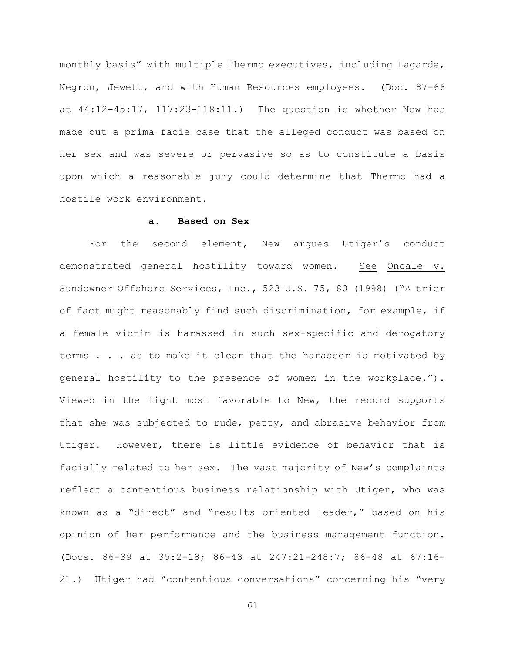monthly basis" with multiple Thermo executives, including Lagarde, Negron, Jewett, and with Human Resources employees. (Doc. 87-66 at 44:12-45:17, 117:23-118:11.) The question is whether New has made out a prima facie case that the alleged conduct was based on her sex and was severe or pervasive so as to constitute a basis upon which a reasonable jury could determine that Thermo had a hostile work environment.

### **a. Based on Sex**

For the second element, New argues Utiger's conduct demonstrated general hostility toward women. See Oncale v. Sundowner Offshore Services, Inc., 523 U.S. 75, 80 (1998) ("A trier of fact might reasonably find such discrimination, for example, if a female victim is harassed in such sex-specific and derogatory terms . . . as to make it clear that the harasser is motivated by general hostility to the presence of women in the workplace."). Viewed in the light most favorable to New, the record supports that she was subjected to rude, petty, and abrasive behavior from Utiger. However, there is little evidence of behavior that is facially related to her sex. The vast majority of New's complaints reflect a contentious business relationship with Utiger, who was known as a "direct" and "results oriented leader," based on his opinion of her performance and the business management function. (Docs. 86-39 at 35:2-18; 86-43 at 247:21-248:7; 86-48 at 67:16- 21.) Utiger had "contentious conversations" concerning his "very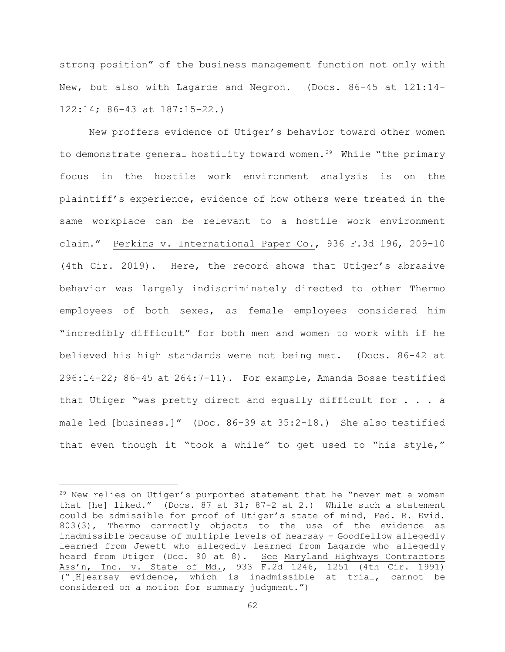strong position" of the business management function not only with New, but also with Lagarde and Negron. (Docs. 86-45 at 121:14- 122:14; 86-43 at 187:15-22.)

New proffers evidence of Utiger's behavior toward other women to demonstrate general hostility toward women.<sup>29</sup> While "the primary focus in the hostile work environment analysis is on the plaintiff's experience, evidence of how others were treated in the same workplace can be relevant to a hostile work environment claim." Perkins v. International Paper Co., 936 F.3d 196, 209-10 (4th Cir. 2019). Here, the record shows that Utiger's abrasive behavior was largely indiscriminately directed to other Thermo employees of both sexes, as female employees considered him "incredibly difficult" for both men and women to work with if he believed his high standards were not being met. (Docs. 86-42 at 296:14-22; 86-45 at 264:7-11). For example, Amanda Bosse testified that Utiger "was pretty direct and equally difficult for . . . a male led [business.]" (Doc. 86-39 at 35:2-18.) She also testified that even though it "took a while" to get used to "his style,"

<sup>&</sup>lt;sup>29</sup> New relies on Utiger's purported statement that he "never met a woman that [he] liked." (Docs. 87 at 31; 87-2 at 2.) While such a statement could be admissible for proof of Utiger's state of mind, Fed. R. Evid. 803(3), Thermo correctly objects to the use of the evidence as inadmissible because of multiple levels of hearsay – Goodfellow allegedly learned from Jewett who allegedly learned from Lagarde who allegedly heard from Utiger (Doc. 90 at 8). See Maryland Highways Contractors Ass'n, Inc. v. State of Md., 933 F.2d 1246, 1251 (4th Cir. 1991) ("[H]earsay evidence, which is inadmissible at trial, cannot be considered on a motion for summary judgment.")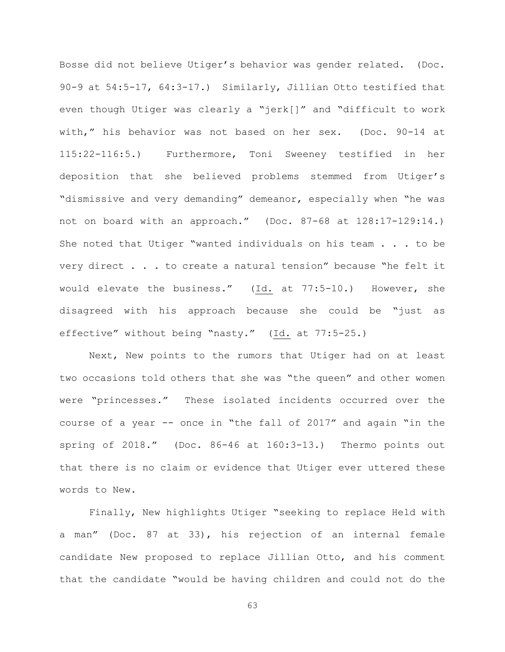Bosse did not believe Utiger's behavior was gender related. (Doc. 90-9 at 54:5-17, 64:3-17.) Similarly, Jillian Otto testified that even though Utiger was clearly a "jerk[]" and "difficult to work with," his behavior was not based on her sex. (Doc. 90-14 at 115:22-116:5.) Furthermore, Toni Sweeney testified in her deposition that she believed problems stemmed from Utiger's "dismissive and very demanding" demeanor, especially when "he was not on board with an approach." (Doc. 87-68 at 128:17-129:14.) She noted that Utiger "wanted individuals on his team . . . to be very direct . . . to create a natural tension" because "he felt it would elevate the business." (Id. at 77:5-10.) However, she disagreed with his approach because she could be "just as effective" without being "nasty." (Id. at 77:5-25.)

Next, New points to the rumors that Utiger had on at least two occasions told others that she was "the queen" and other women were "princesses." These isolated incidents occurred over the course of a year -- once in "the fall of 2017" and again "in the spring of 2018." (Doc. 86-46 at 160:3-13.) Thermo points out that there is no claim or evidence that Utiger ever uttered these words to New.

Finally, New highlights Utiger "seeking to replace Held with a man" (Doc. 87 at 33), his rejection of an internal female candidate New proposed to replace Jillian Otto, and his comment that the candidate "would be having children and could not do the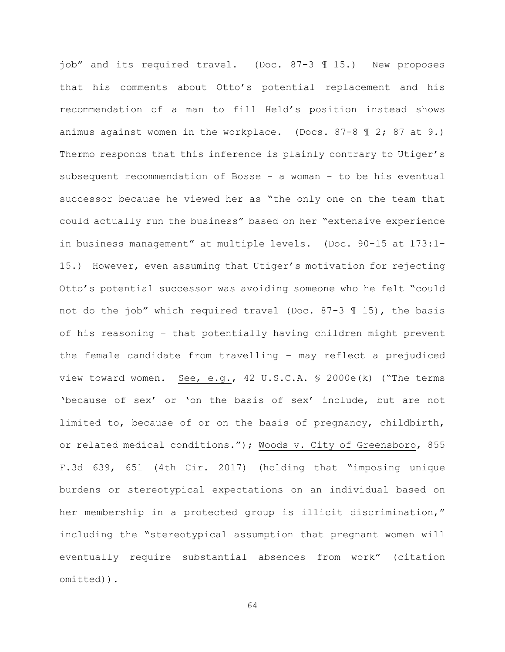job" and its required travel. (Doc. 87-3 ¶ 15.) New proposes that his comments about Otto's potential replacement and his recommendation of a man to fill Held's position instead shows animus against women in the workplace. (Docs. 87-8 ¶ 2; 87 at 9.) Thermo responds that this inference is plainly contrary to Utiger's subsequent recommendation of Bosse - a woman - to be his eventual successor because he viewed her as "the only one on the team that could actually run the business" based on her "extensive experience in business management" at multiple levels. (Doc. 90-15 at 173:1- 15.) However, even assuming that Utiger's motivation for rejecting Otto's potential successor was avoiding someone who he felt "could not do the job" which required travel (Doc. 87-3 ¶ 15), the basis of his reasoning – that potentially having children might prevent the female candidate from travelling – may reflect a prejudiced view toward women. See, e.g., 42 U.S.C.A. § 2000e(k) ("The terms 'because of sex' or 'on the basis of sex' include, but are not limited to, because of or on the basis of pregnancy, childbirth, or related medical conditions."); Woods v. City of Greensboro, 855 F.3d 639, 651 (4th Cir. 2017) (holding that "imposing unique burdens or stereotypical expectations on an individual based on her membership in a protected group is illicit discrimination," including the "stereotypical assumption that pregnant women will eventually require substantial absences from work" (citation omitted)).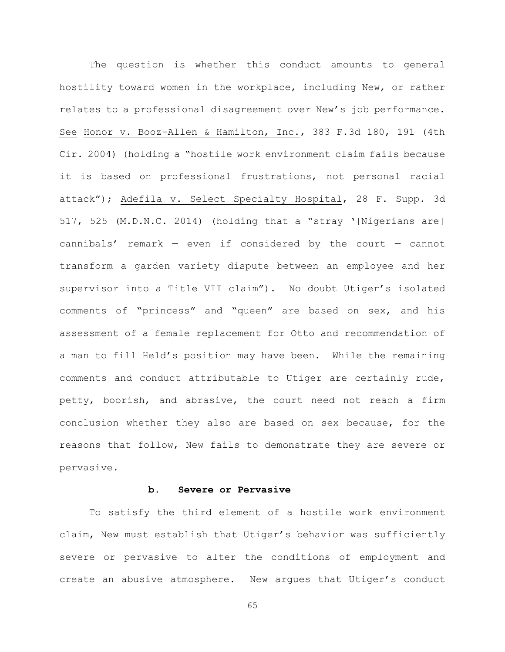The question is whether this conduct amounts to general hostility toward women in the workplace, including New, or rather relates to a professional disagreement over New's job performance. See Honor v. Booz-Allen & Hamilton, Inc., 383 F.3d 180, 191 (4th Cir. 2004) (holding a "hostile work environment claim fails because it is based on professional frustrations, not personal racial attack"); Adefila v. Select Specialty Hospital, 28 F. Supp. 3d 517, 525 (M.D.N.C. 2014) (holding that a "stray '[Nigerians are] cannibals' remark  $-$  even if considered by the court  $-$  cannot transform a garden variety dispute between an employee and her supervisor into a Title VII claim"). No doubt Utiger's isolated comments of "princess" and "queen" are based on sex, and his assessment of a female replacement for Otto and recommendation of a man to fill Held's position may have been. While the remaining comments and conduct attributable to Utiger are certainly rude, petty, boorish, and abrasive, the court need not reach a firm conclusion whether they also are based on sex because, for the reasons that follow, New fails to demonstrate they are severe or pervasive.

# **b. Severe or Pervasive**

To satisfy the third element of a hostile work environment claim, New must establish that Utiger's behavior was sufficiently severe or pervasive to alter the conditions of employment and create an abusive atmosphere. New argues that Utiger's conduct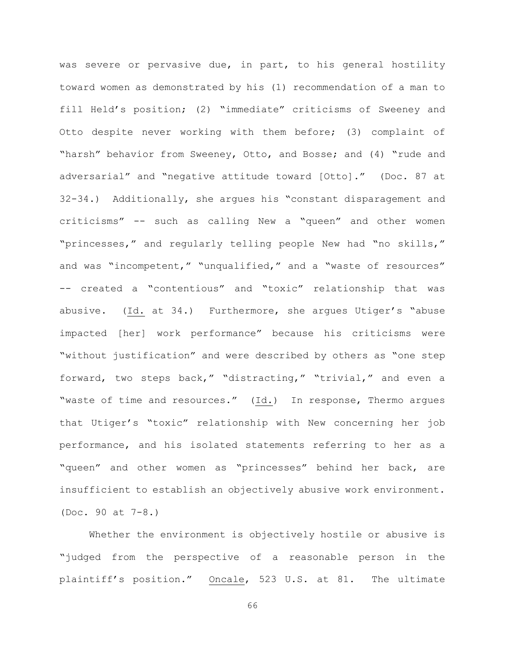was severe or pervasive due, in part, to his general hostility toward women as demonstrated by his (1) recommendation of a man to fill Held's position; (2) "immediate" criticisms of Sweeney and Otto despite never working with them before; (3) complaint of "harsh" behavior from Sweeney, Otto, and Bosse; and (4) "rude and adversarial" and "negative attitude toward [Otto]." (Doc. 87 at 32-34.) Additionally, she argues his "constant disparagement and criticisms" -- such as calling New a "queen" and other women "princesses," and regularly telling people New had "no skills," and was "incompetent," "unqualified," and a "waste of resources" -- created a "contentious" and "toxic" relationship that was abusive. (Id. at 34.) Furthermore, she argues Utiger's "abuse impacted [her] work performance" because his criticisms were "without justification" and were described by others as "one step forward, two steps back," "distracting," "trivial," and even a "waste of time and resources." (Id.) In response, Thermo argues that Utiger's "toxic" relationship with New concerning her job performance, and his isolated statements referring to her as a "queen" and other women as "princesses" behind her back, are insufficient to establish an objectively abusive work environment. (Doc. 90 at 7-8.)

Whether the environment is objectively hostile or abusive is "judged from the perspective of a reasonable person in the plaintiff's position." Oncale, 523 U.S. at 81. The ultimate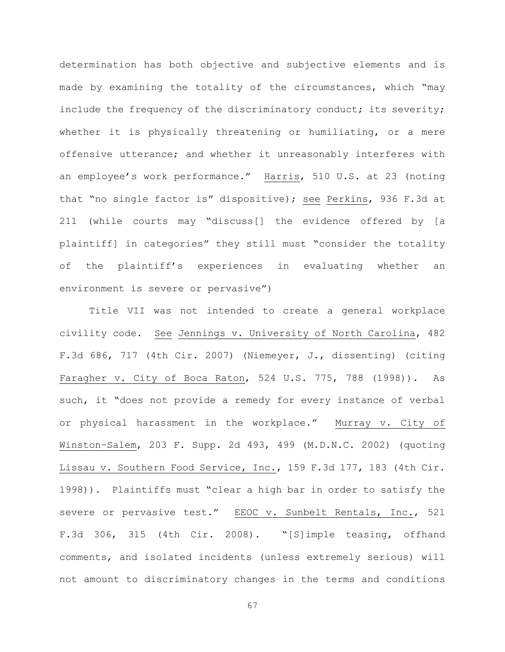determination has both objective and subjective elements and is made by examining the totality of the circumstances, which "may include the frequency of the discriminatory conduct; its severity; whether it is physically threatening or humiliating, or a mere offensive utterance; and whether it unreasonably interferes with an employee's work performance." Harris, 510 U.S. at 23 (noting that "no single factor is" dispositive); see Perkins, 936 F.3d at 211 (while courts may "discuss[] the evidence offered by [a plaintiff] in categories" they still must "consider the totality of the plaintiff's experiences in evaluating whether an environment is severe or pervasive")

Title VII was not intended to create a general workplace civility code. See Jennings v. University of North Carolina, 482 F.3d 686, 717 (4th Cir. 2007) (Niemeyer, J., dissenting) (citing Faragher v. City of Boca Raton, 524 U.S. 775, 788 (1998)). As such, it "does not provide a remedy for every instance of verbal or physical harassment in the workplace." Murray v. City of Winston–Salem, 203 F. Supp. 2d 493, 499 (M.D.N.C. 2002) (quoting Lissau v. Southern Food Service, Inc., 159 F.3d 177, 183 (4th Cir. 1998)). Plaintiffs must "clear a high bar in order to satisfy the severe or pervasive test." EEOC v. Sunbelt Rentals, Inc., 521 F.3d 306, 315 (4th Cir. 2008). "[S]imple teasing, offhand comments, and isolated incidents (unless extremely serious) will not amount to discriminatory changes in the terms and conditions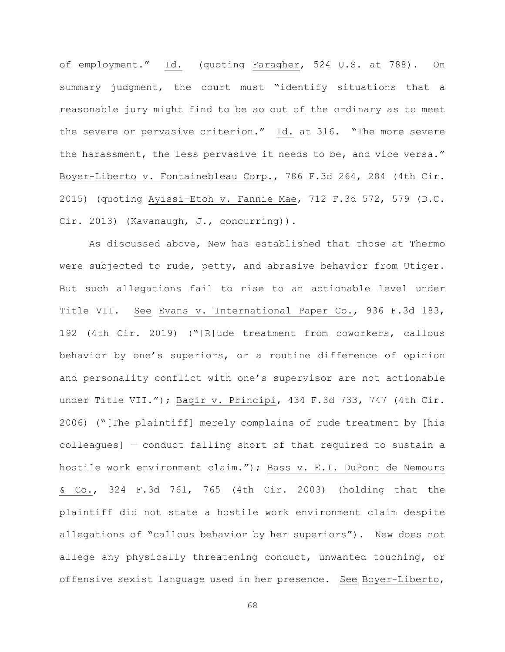of employment." Id. (quoting Faragher, 524 U.S. at 788). On summary judgment, the court must "identify situations that a reasonable jury might find to be so out of the ordinary as to meet the severe or pervasive criterion." Id. at 316. "The more severe the harassment, the less pervasive it needs to be, and vice versa." Boyer-Liberto v. Fontainebleau Corp., 786 F.3d 264, 284 (4th Cir. 2015) (quoting Ayissi–Etoh v. Fannie Mae, 712 F.3d 572, 579 (D.C. Cir. 2013) (Kavanaugh, J., concurring)).

As discussed above, New has established that those at Thermo were subjected to rude, petty, and abrasive behavior from Utiger. But such allegations fail to rise to an actionable level under Title VII. See Evans v. International Paper Co., 936 F.3d 183, 192 (4th Cir. 2019) ("[R]ude treatment from coworkers, callous behavior by one's superiors, or a routine difference of opinion and personality conflict with one's supervisor are not actionable under Title VII."); Baqir v. Principi, 434 F.3d 733, 747 (4th Cir. 2006) ("[The plaintiff] merely complains of rude treatment by [his colleagues] — conduct falling short of that required to sustain a hostile work environment claim."); Bass v. E.I. DuPont de Nemours & Co., 324 F.3d 761, 765 (4th Cir. 2003) (holding that the plaintiff did not state a hostile work environment claim despite allegations of "callous behavior by her superiors"). New does not allege any physically threatening conduct, unwanted touching, or offensive sexist language used in her presence. See Boyer-Liberto,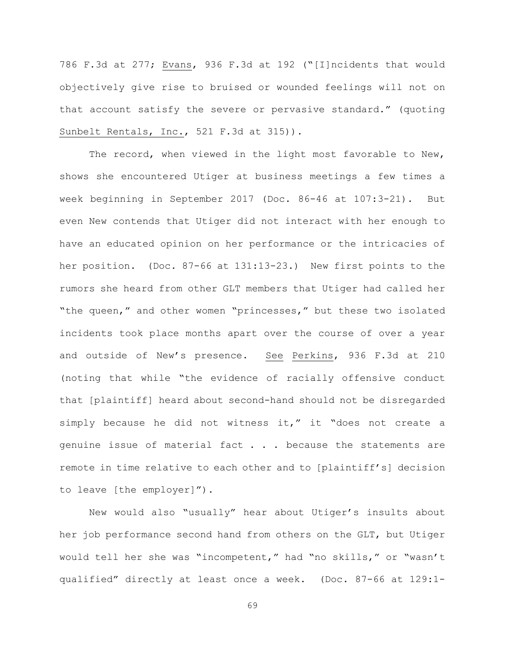786 F.3d at 277; Evans, 936 F.3d at 192 ("[I]ncidents that would objectively give rise to bruised or wounded feelings will not on that account satisfy the severe or pervasive standard." (quoting Sunbelt Rentals, Inc., 521 F.3d at 315)).

The record, when viewed in the light most favorable to New, shows she encountered Utiger at business meetings a few times a week beginning in September 2017 (Doc. 86-46 at 107:3-21). But even New contends that Utiger did not interact with her enough to have an educated opinion on her performance or the intricacies of her position. (Doc. 87-66 at 131:13-23.) New first points to the rumors she heard from other GLT members that Utiger had called her "the queen," and other women "princesses," but these two isolated incidents took place months apart over the course of over a year and outside of New's presence. See Perkins, 936 F.3d at 210 (noting that while "the evidence of racially offensive conduct that [plaintiff] heard about second-hand should not be disregarded simply because he did not witness it," it "does not create a genuine issue of material fact . . . because the statements are remote in time relative to each other and to [plaintiff's] decision to leave [the employer]").

New would also "usually" hear about Utiger's insults about her job performance second hand from others on the GLT, but Utiger would tell her she was "incompetent," had "no skills," or "wasn't qualified" directly at least once a week. (Doc. 87-66 at 129:1-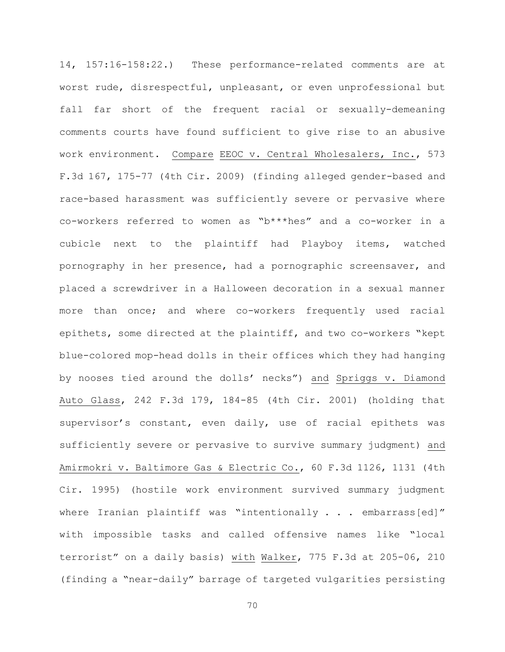14, 157:16-158:22.) These performance-related comments are at worst rude, disrespectful, unpleasant, or even unprofessional but fall far short of the frequent racial or sexually-demeaning comments courts have found sufficient to give rise to an abusive work environment. Compare EEOC v. Central Wholesalers, Inc., 573 F.3d 167, 175-77 (4th Cir. 2009) (finding alleged gender-based and race-based harassment was sufficiently severe or pervasive where co-workers referred to women as "b\*\*\*hes" and a co-worker in a cubicle next to the plaintiff had Playboy items, watched pornography in her presence, had a pornographic screensaver, and placed a screwdriver in a Halloween decoration in a sexual manner more than once; and where co-workers frequently used racial epithets, some directed at the plaintiff, and two co-workers "kept blue-colored mop-head dolls in their offices which they had hanging by nooses tied around the dolls' necks") and Spriggs v. Diamond Auto Glass, 242 F.3d 179, 184-85 (4th Cir. 2001) (holding that supervisor's constant, even daily, use of racial epithets was sufficiently severe or pervasive to survive summary judgment) and Amirmokri v. Baltimore Gas & Electric Co., 60 F.3d 1126, 1131 (4th Cir. 1995) (hostile work environment survived summary judgment where Iranian plaintiff was "intentionally . . . embarrass[ed]" with impossible tasks and called offensive names like "local terrorist" on a daily basis) with Walker, 775 F.3d at 205-06, 210 (finding a "near-daily" barrage of targeted vulgarities persisting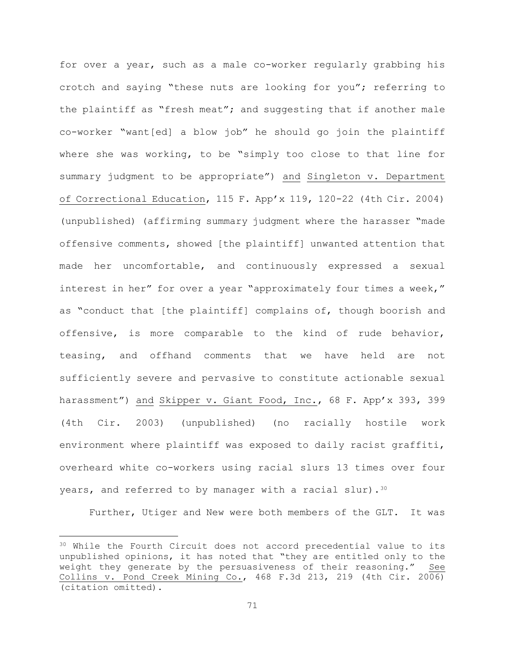for over a year, such as a male co-worker regularly grabbing his crotch and saying "these nuts are looking for you"; referring to the plaintiff as "fresh meat"; and suggesting that if another male co-worker "want[ed] a blow job" he should go join the plaintiff where she was working, to be "simply too close to that line for summary judgment to be appropriate") and Singleton v. Department of Correctional Education, 115 F. App'x 119, 120-22 (4th Cir. 2004) (unpublished) (affirming summary judgment where the harasser "made offensive comments, showed [the plaintiff] unwanted attention that made her uncomfortable, and continuously expressed a sexual interest in her" for over a year "approximately four times a week," as "conduct that [the plaintiff] complains of, though boorish and offensive, is more comparable to the kind of rude behavior, teasing, and offhand comments that we have held are not sufficiently severe and pervasive to constitute actionable sexual harassment") and Skipper v. Giant Food, Inc., 68 F. App'x 393, 399 (4th Cir. 2003) (unpublished) (no racially hostile work environment where plaintiff was exposed to daily racist graffiti, overheard white co-workers using racial slurs 13 times over four years, and referred to by manager with a racial slur).  $30$ 

Further, Utiger and New were both members of the GLT. It was

<sup>&</sup>lt;sup>30</sup> While the Fourth Circuit does not accord precedential value to its unpublished opinions, it has noted that "they are entitled only to the weight they generate by the persuasiveness of their reasoning." See Collins v. Pond Creek Mining Co., 468 F.3d 213, 219 (4th Cir. 2006) (citation omitted).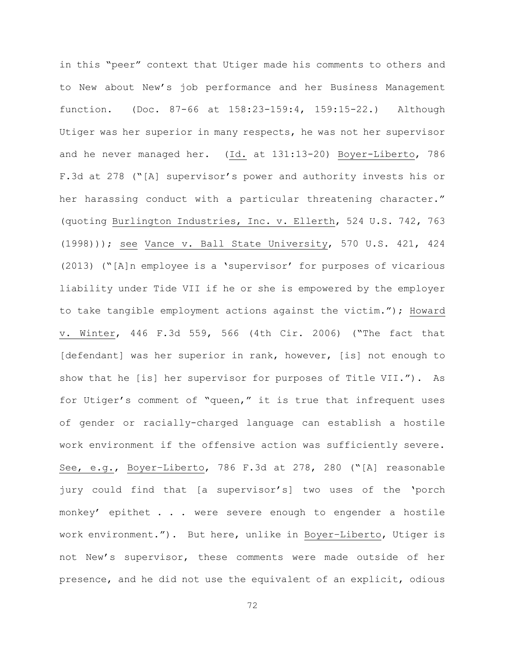in this "peer" context that Utiger made his comments to others and to New about New's job performance and her Business Management function. (Doc. 87-66 at 158:23-159:4, 159:15-22.) Although Utiger was her superior in many respects, he was not her supervisor and he never managed her. (Id. at 131:13-20) Boyer-Liberto, 786 F.3d at 278 ("[A] supervisor's power and authority invests his or her harassing conduct with a particular threatening character." (quoting Burlington Industries, Inc. v. Ellerth, 524 U.S. 742, 763 (1998))); see Vance v. Ball State University, 570 U.S. 421, 424 (2013) ("[A]n employee is a 'supervisor' for purposes of vicarious liability under Tide VII if he or she is empowered by the employer to take tangible employment actions against the victim."); Howard v. Winter, 446 F.3d 559, 566 (4th Cir. 2006) ("The fact that [defendant] was her superior in rank, however, [is] not enough to show that he [is] her supervisor for purposes of Title VII."). As for Utiger's comment of "queen," it is true that infrequent uses of gender or racially-charged language can establish a hostile work environment if the offensive action was sufficiently severe. See, e.g., Boyer–Liberto, 786 F.3d at 278, 280 ("[A] reasonable jury could find that [a supervisor's] two uses of the 'porch monkey' epithet . . . were severe enough to engender a hostile work environment."). But here, unlike in Boyer–Liberto, Utiger is not New's supervisor, these comments were made outside of her presence, and he did not use the equivalent of an explicit, odious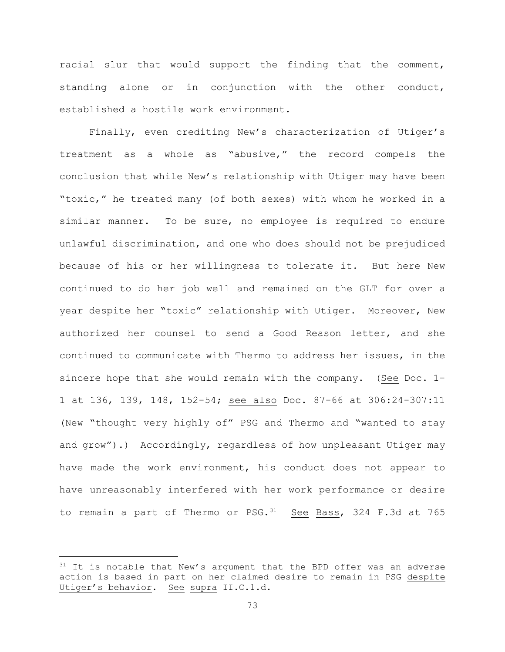racial slur that would support the finding that the comment, standing alone or in conjunction with the other conduct, established a hostile work environment.

Finally, even crediting New's characterization of Utiger's treatment as a whole as "abusive," the record compels the conclusion that while New's relationship with Utiger may have been "toxic," he treated many (of both sexes) with whom he worked in a similar manner. To be sure, no employee is required to endure unlawful discrimination, and one who does should not be prejudiced because of his or her willingness to tolerate it. But here New continued to do her job well and remained on the GLT for over a year despite her "toxic" relationship with Utiger. Moreover, New authorized her counsel to send a Good Reason letter, and she continued to communicate with Thermo to address her issues, in the sincere hope that she would remain with the company. (See Doc. 1- 1 at 136, 139, 148, 152-54; see also Doc. 87-66 at 306:24-307:11 (New "thought very highly of" PSG and Thermo and "wanted to stay and grow").) Accordingly, regardless of how unpleasant Utiger may have made the work environment, his conduct does not appear to have unreasonably interfered with her work performance or desire to remain a part of Thermo or PSG. 31 See Bass, 324 F.3d at 765

 $31$  It is notable that New's argument that the BPD offer was an adverse action is based in part on her claimed desire to remain in PSG despite Utiger's behavior. See supra II.C.1.d.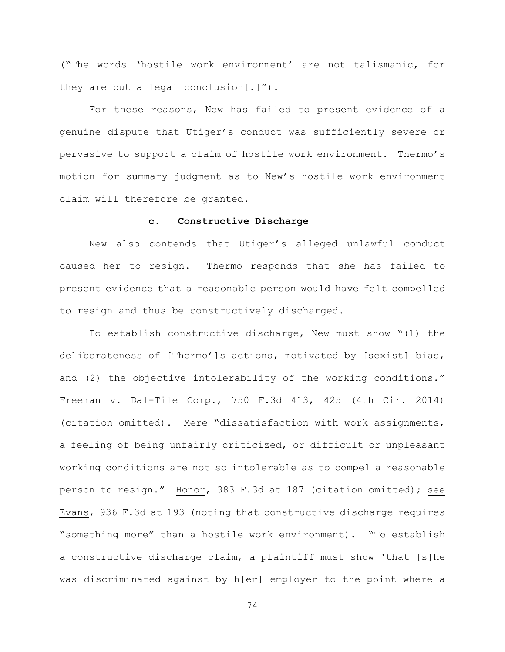("The words 'hostile work environment' are not talismanic, for they are but a legal conclusion[.]").

For these reasons, New has failed to present evidence of a genuine dispute that Utiger's conduct was sufficiently severe or pervasive to support a claim of hostile work environment. Thermo's motion for summary judgment as to New's hostile work environment claim will therefore be granted.

## **c. Constructive Discharge**

New also contends that Utiger's alleged unlawful conduct caused her to resign. Thermo responds that she has failed to present evidence that a reasonable person would have felt compelled to resign and thus be constructively discharged.

To establish constructive discharge, New must show "(1) the deliberateness of [Thermo']s actions, motivated by [sexist] bias, and (2) the objective intolerability of the working conditions." Freeman v. Dal-Tile Corp., 750 F.3d 413, 425 (4th Cir. 2014) (citation omitted). Mere "dissatisfaction with work assignments, a feeling of being unfairly criticized, or difficult or unpleasant working conditions are not so intolerable as to compel a reasonable person to resign." Honor, 383 F.3d at 187 (citation omitted); see Evans, 936 F.3d at 193 (noting that constructive discharge requires "something more" than a hostile work environment). "To establish a constructive discharge claim, a plaintiff must show 'that [s]he was discriminated against by h[er] employer to the point where a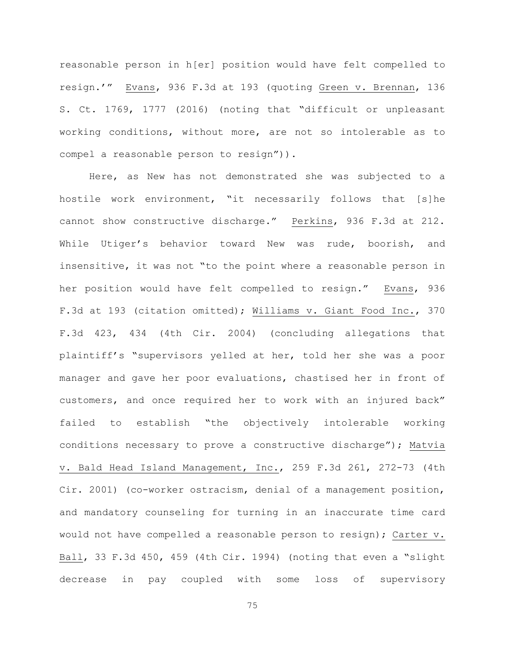reasonable person in h[er] position would have felt compelled to resign.'" Evans, 936 F.3d at 193 (quoting Green v. Brennan, 136 S. Ct. 1769, 1777 (2016) (noting that "difficult or unpleasant working conditions, without more, are not so intolerable as to compel a reasonable person to resign")).

Here, as New has not demonstrated she was subjected to a hostile work environment, "it necessarily follows that [s]he cannot show constructive discharge." Perkins, 936 F.3d at 212. While Utiger's behavior toward New was rude, boorish, and insensitive, it was not "to the point where a reasonable person in her position would have felt compelled to resign." Evans, 936 F.3d at 193 (citation omitted); Williams v. Giant Food Inc., 370 F.3d 423, 434 (4th Cir. 2004) (concluding allegations that plaintiff's "supervisors yelled at her, told her she was a poor manager and gave her poor evaluations, chastised her in front of customers, and once required her to work with an injured back" failed to establish "the objectively intolerable working conditions necessary to prove a constructive discharge"); Matvia v. Bald Head Island Management, Inc., 259 F.3d 261, 272-73 (4th Cir. 2001) (co-worker ostracism, denial of a management position, and mandatory counseling for turning in an inaccurate time card would not have compelled a reasonable person to resign); Carter v. Ball, 33 F.3d 450, 459 (4th Cir. 1994) (noting that even a "slight decrease in pay coupled with some loss of supervisory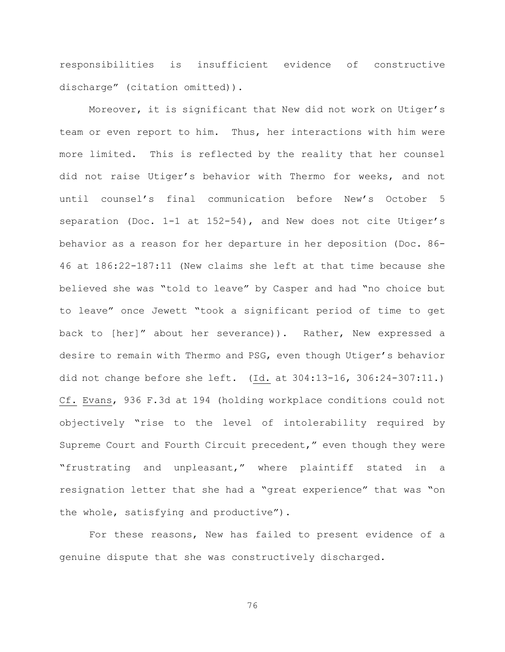responsibilities is insufficient evidence of constructive discharge" (citation omitted)).

Moreover, it is significant that New did not work on Utiger's team or even report to him. Thus, her interactions with him were more limited. This is reflected by the reality that her counsel did not raise Utiger's behavior with Thermo for weeks, and not until counsel's final communication before New's October 5 separation (Doc. 1-1 at 152-54), and New does not cite Utiger's behavior as a reason for her departure in her deposition (Doc. 86- 46 at 186:22-187:11 (New claims she left at that time because she believed she was "told to leave" by Casper and had "no choice but to leave" once Jewett "took a significant period of time to get back to [her]" about her severance)). Rather, New expressed a desire to remain with Thermo and PSG, even though Utiger's behavior did not change before she left. (Id. at 304:13-16, 306:24-307:11.) Cf. Evans, 936 F.3d at 194 (holding workplace conditions could not objectively "rise to the level of intolerability required by Supreme Court and Fourth Circuit precedent," even though they were "frustrating and unpleasant," where plaintiff stated in a resignation letter that she had a "great experience" that was "on the whole, satisfying and productive").

For these reasons, New has failed to present evidence of a genuine dispute that she was constructively discharged.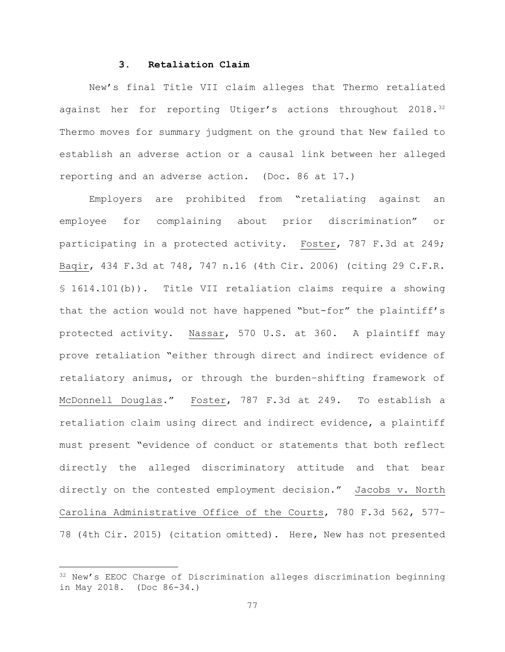## **3. Retaliation Claim**

New's final Title VII claim alleges that Thermo retaliated against her for reporting Utiger's actions throughout 2018.<sup>32</sup> Thermo moves for summary judgment on the ground that New failed to establish an adverse action or a causal link between her alleged reporting and an adverse action. (Doc. 86 at 17.)

Employers are prohibited from "retaliating against an employee for complaining about prior discrimination" or participating in a protected activity. Foster, 787 F.3d at 249; Baqir, 434 F.3d at 748, 747 n.16 (4th Cir. 2006) (citing 29 C.F.R. § 1614.101(b)). Title VII retaliation claims require a showing that the action would not have happened "but-for" the plaintiff's protected activity. Nassar, 570 U.S. at 360. A plaintiff may prove retaliation "either through direct and indirect evidence of retaliatory animus, or through the burden–shifting framework of McDonnell Douglas." Foster, 787 F.3d at 249. To establish a retaliation claim using direct and indirect evidence, a plaintiff must present "evidence of conduct or statements that both reflect directly the alleged discriminatory attitude and that bear directly on the contested employment decision." Jacobs v. North Carolina Administrative Office of the Courts, 780 F.3d 562, 577– 78 (4th Cir. 2015) (citation omitted). Here, New has not presented

<sup>32</sup> New's EEOC Charge of Discrimination alleges discrimination beginning in May 2018. (Doc 86-34.)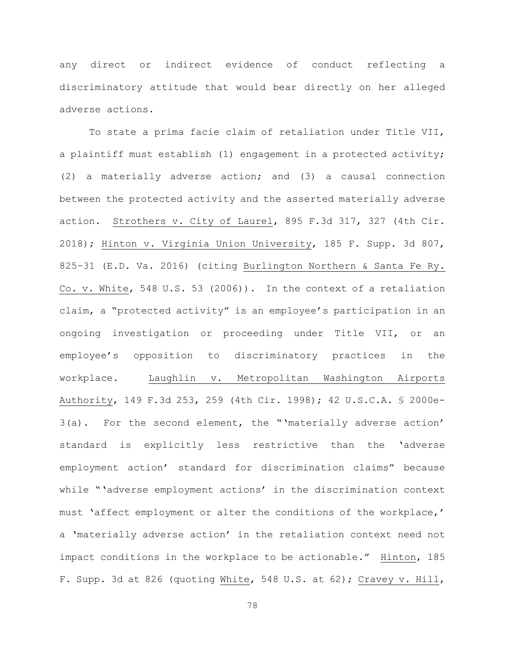any direct or indirect evidence of conduct reflecting a discriminatory attitude that would bear directly on her alleged adverse actions.

To state a prima facie claim of retaliation under Title VII, a plaintiff must establish (1) engagement in a protected activity; (2) a materially adverse action; and (3) a causal connection between the protected activity and the asserted materially adverse action. Strothers v. City of Laurel, 895 F.3d 317, 327 (4th Cir. 2018); Hinton v. Virginia Union University, 185 F. Supp. 3d 807, 825–31 (E.D. Va. 2016) (citing Burlington Northern & Santa Fe Ry. Co. v. White, 548 U.S. 53 (2006)). In the context of a retaliation claim, a "protected activity" is an employee's participation in an ongoing investigation or proceeding under Title VII, or an employee's opposition to discriminatory practices in the workplace. Laughlin v. Metropolitan Washington Airports Authority, 149 F.3d 253, 259 (4th Cir. 1998); 42 U.S.C.A. § 2000e-3(a). For the second element, the "'materially adverse action' standard is explicitly less restrictive than the 'adverse employment action' standard for discrimination claims" because while "'adverse employment actions' in the discrimination context must 'affect employment or alter the conditions of the workplace,' a 'materially adverse action' in the retaliation context need not impact conditions in the workplace to be actionable." Hinton, 185 F. Supp. 3d at 826 (quoting White, 548 U.S. at 62); Cravey v. Hill,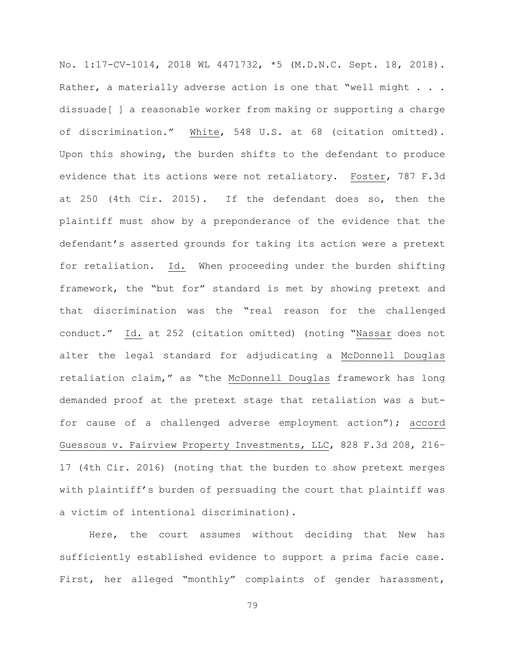No. 1:17-CV-1014, 2018 WL 4471732, \*5 (M.D.N.C. Sept. 18, 2018). Rather, a materially adverse action is one that "well might . . . dissuade[ ] a reasonable worker from making or supporting a charge of discrimination." White, 548 U.S. at 68 (citation omitted). Upon this showing, the burden shifts to the defendant to produce evidence that its actions were not retaliatory. Foster, 787 F.3d at 250 (4th Cir. 2015). If the defendant does so, then the plaintiff must show by a preponderance of the evidence that the defendant's asserted grounds for taking its action were a pretext for retaliation. Id. When proceeding under the burden shifting framework, the "but for" standard is met by showing pretext and that discrimination was the "real reason for the challenged conduct." Id. at 252 (citation omitted) (noting "Nassar does not alter the legal standard for adjudicating a McDonnell Douglas retaliation claim," as "the McDonnell Douglas framework has long demanded proof at the pretext stage that retaliation was a butfor cause of a challenged adverse employment action"); accord Guessous v. Fairview Property Investments, LLC, 828 F.3d 208, 216– 17 (4th Cir. 2016) (noting that the burden to show pretext merges with plaintiff's burden of persuading the court that plaintiff was a victim of intentional discrimination).

Here, the court assumes without deciding that New has sufficiently established evidence to support a prima facie case. First, her alleged "monthly" complaints of gender harassment,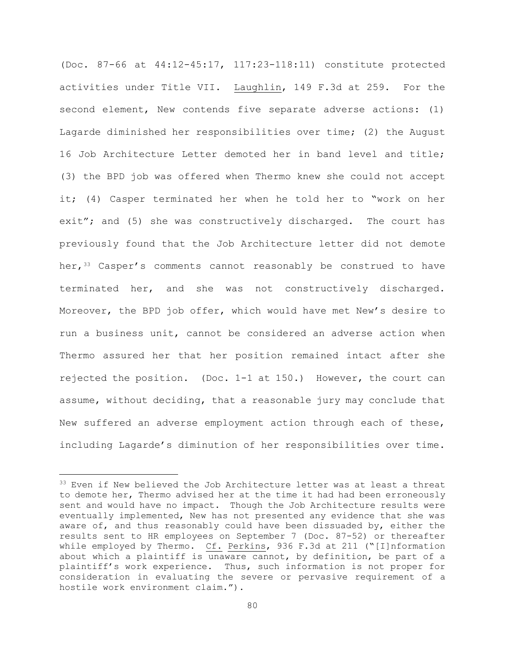(Doc. 87-66 at 44:12-45:17, 117:23-118:11) constitute protected activities under Title VII. Laughlin, 149 F.3d at 259. For the second element, New contends five separate adverse actions: (1) Lagarde diminished her responsibilities over time; (2) the August 16 Job Architecture Letter demoted her in band level and title; (3) the BPD job was offered when Thermo knew she could not accept it; (4) Casper terminated her when he told her to "work on her exit"; and (5) she was constructively discharged. The court has previously found that the Job Architecture letter did not demote her,<sup>33</sup> Casper's comments cannot reasonably be construed to have terminated her, and she was not constructively discharged. Moreover, the BPD job offer, which would have met New's desire to run a business unit, cannot be considered an adverse action when Thermo assured her that her position remained intact after she rejected the position. (Doc. 1-1 at 150.) However, the court can assume, without deciding, that a reasonable jury may conclude that New suffered an adverse employment action through each of these, including Lagarde's diminution of her responsibilities over time.

<sup>&</sup>lt;sup>33</sup> Even if New believed the Job Architecture letter was at least a threat to demote her, Thermo advised her at the time it had had been erroneously sent and would have no impact. Though the Job Architecture results were eventually implemented, New has not presented any evidence that she was aware of, and thus reasonably could have been dissuaded by, either the results sent to HR employees on September 7 (Doc. 87-52) or thereafter while employed by Thermo. Cf. Perkins, 936 F.3d at 211 ("[I]nformation about which a plaintiff is unaware cannot, by definition, be part of a plaintiff's work experience. Thus, such information is not proper for consideration in evaluating the severe or pervasive requirement of a hostile work environment claim.").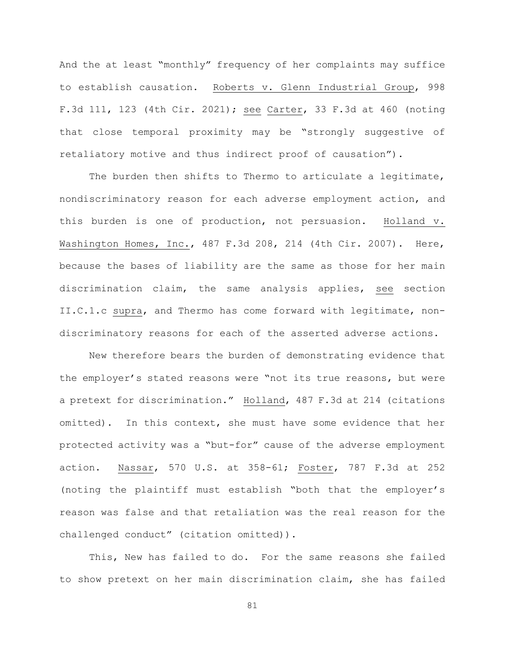And the at least "monthly" frequency of her complaints may suffice to establish causation. Roberts v. Glenn Industrial Group, 998 F.3d 111, 123 (4th Cir. 2021); see Carter, 33 F.3d at 460 (noting that close temporal proximity may be "strongly suggestive of retaliatory motive and thus indirect proof of causation").

The burden then shifts to Thermo to articulate a legitimate, nondiscriminatory reason for each adverse employment action, and this burden is one of production, not persuasion. Holland v. Washington Homes, Inc., 487 F.3d 208, 214 (4th Cir. 2007). Here, because the bases of liability are the same as those for her main discrimination claim, the same analysis applies, see section II.C.1.c supra, and Thermo has come forward with legitimate, nondiscriminatory reasons for each of the asserted adverse actions.

New therefore bears the burden of demonstrating evidence that the employer's stated reasons were "not its true reasons, but were a pretext for discrimination." Holland, 487 F.3d at 214 (citations omitted). In this context, she must have some evidence that her protected activity was a "but-for" cause of the adverse employment action. Nassar, 570 U.S. at 358-61; Foster, 787 F.3d at 252 (noting the plaintiff must establish "both that the employer's reason was false and that retaliation was the real reason for the challenged conduct" (citation omitted)).

This, New has failed to do. For the same reasons she failed to show pretext on her main discrimination claim, she has failed